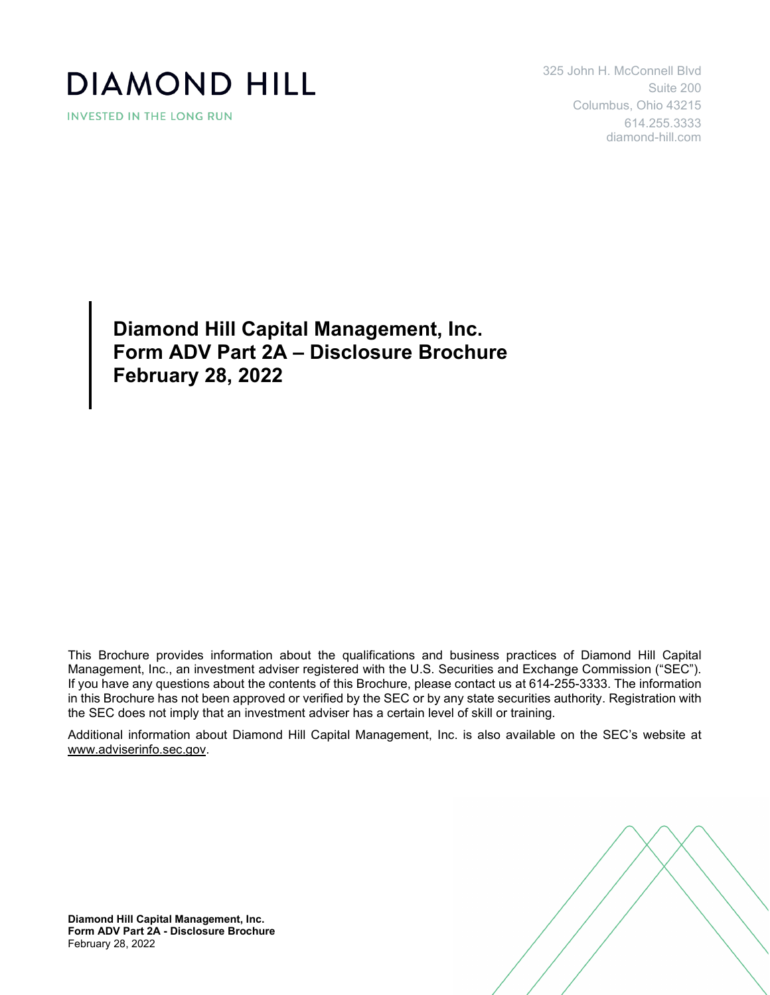

**INVESTED IN THE LONG RUN** 

325 John H. McConnell Blvd Suite 200 Columbus, Ohio 43215 614.255.3333 diamond-hill.com

**Diamond Hill Capital Management, Inc. Form ADV Part 2A – Disclosure Brochure February 28, 2022**

This Brochure provides information about the qualifications and business practices of Diamond Hill Capital Management, Inc., an investment adviser registered with the U.S. Securities and Exchange Commission ("SEC"). If you have any questions about the contents of this Brochure, please contact us at 614-255-3333. The information in this Brochure has not been approved or verified by the SEC or by any state securities authority. Registration with the SEC does not imply that an investment adviser has a certain level of skill or training.

Additional information about Diamond Hill Capital Management, Inc. is also available on the SEC's website at [www.adviserinfo.sec.gov.](http://www.adviserinfo.sec.gov/)

**Diamond Hill Capital Management, Inc. Form ADV Part 2A - Disclosure Brochure** February 28, 2022

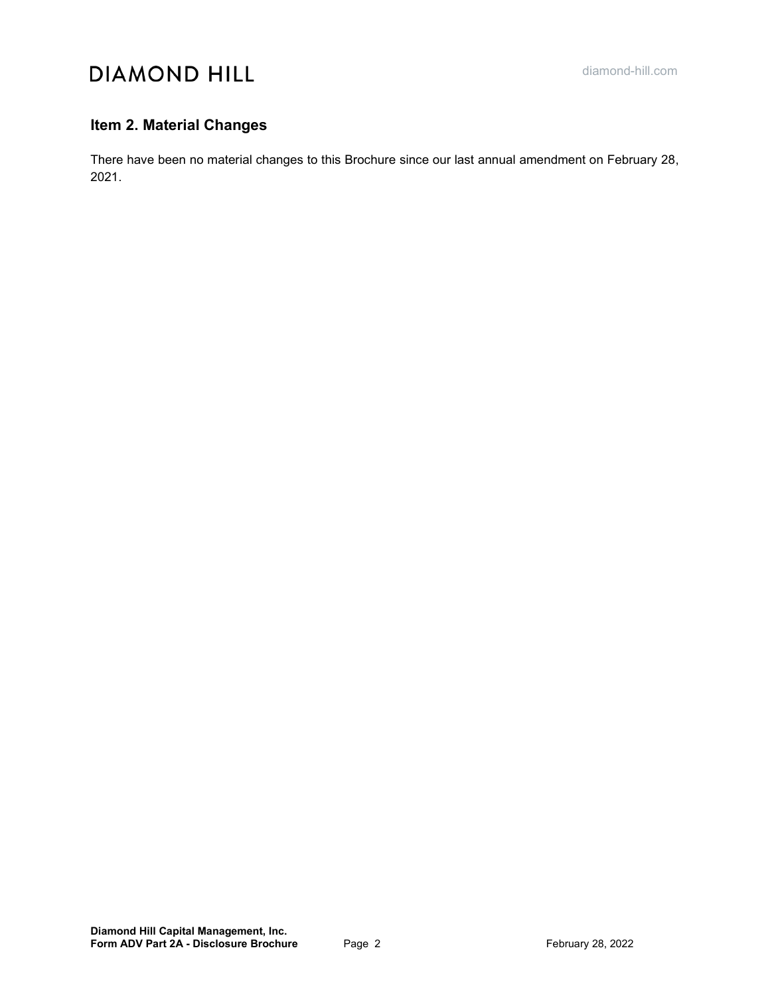# <span id="page-1-0"></span>**Item 2. Material Changes**

There have been no material changes to this Brochure since our last annual amendment on February 28, 2021.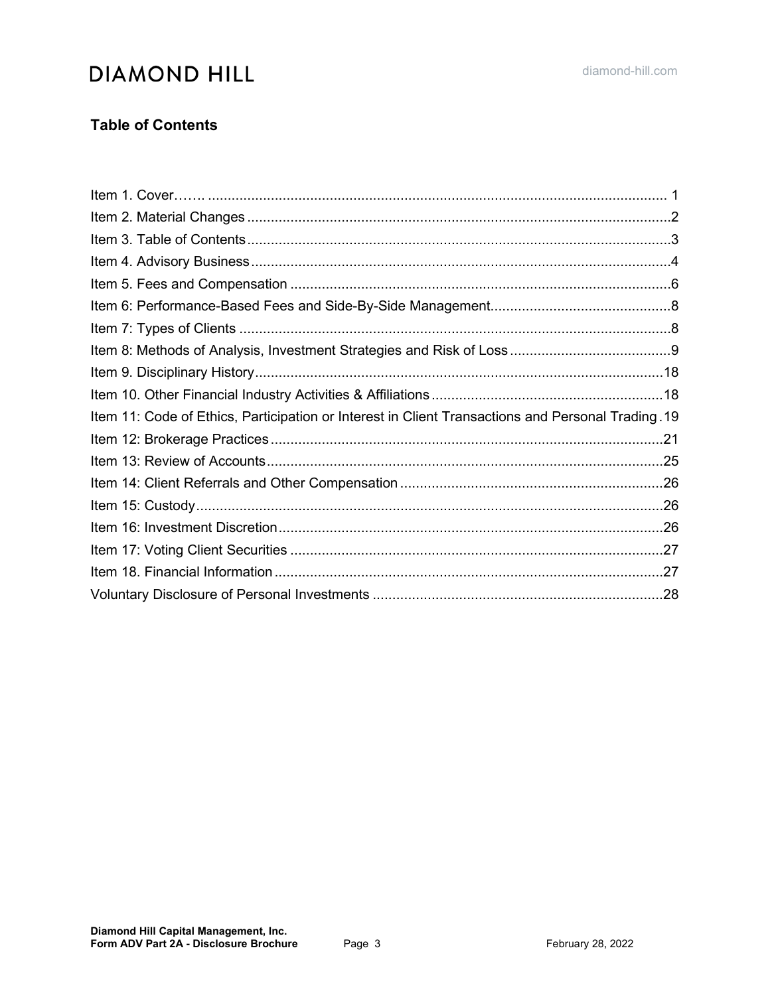# <span id="page-2-0"></span>**Table of Contents**

| 19. Item 11: Code of Ethics, Participation or Interest in Client Transactions and Personal Trading. |     |
|-----------------------------------------------------------------------------------------------------|-----|
|                                                                                                     |     |
|                                                                                                     |     |
|                                                                                                     |     |
|                                                                                                     |     |
|                                                                                                     |     |
|                                                                                                     |     |
|                                                                                                     |     |
|                                                                                                     | .28 |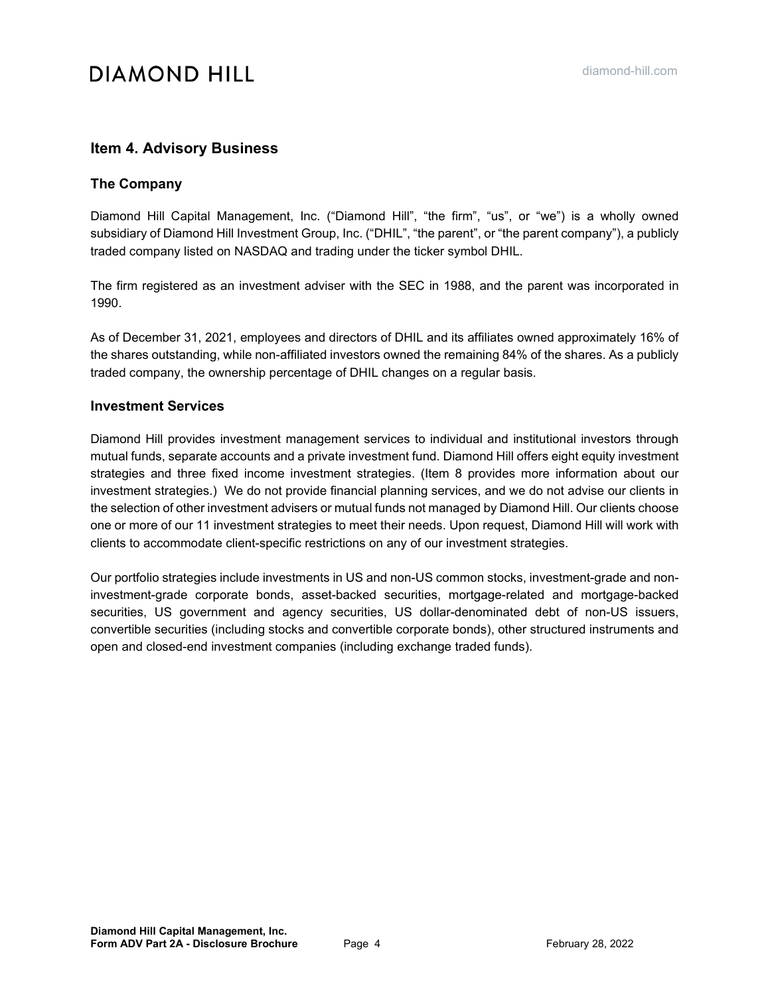# <span id="page-3-0"></span>**Item 4. Advisory Business**

#### **The Company**

Diamond Hill Capital Management, Inc. ("Diamond Hill", "the firm", "us", or "we") is a wholly owned subsidiary of Diamond Hill Investment Group, Inc. ("DHIL", "the parent", or "the parent company"), a publicly traded company listed on NASDAQ and trading under the ticker symbol DHIL.

The firm registered as an investment adviser with the SEC in 1988, and the parent was incorporated in 1990.

As of December 31, 2021, employees and directors of DHIL and its affiliates owned approximately 16% of the shares outstanding, while non-affiliated investors owned the remaining 84% of the shares. As a publicly traded company, the ownership percentage of DHIL changes on a regular basis.

#### **Investment Services**

Diamond Hill provides investment management services to individual and institutional investors through mutual funds, separate accounts and a private investment fund. Diamond Hill offers eight equity investment strategies and three fixed income investment strategies. (Item 8 provides more information about our investment strategies.) We do not provide financial planning services, and we do not advise our clients in the selection of other investment advisers or mutual funds not managed by Diamond Hill. Our clients choose one or more of our 11 investment strategies to meet their needs. Upon request, Diamond Hill will work with clients to accommodate client-specific restrictions on any of our investment strategies.

Our portfolio strategies include investments in US and non-US common stocks, investment-grade and noninvestment-grade corporate bonds, asset-backed securities, mortgage-related and mortgage-backed securities, US government and agency securities, US dollar-denominated debt of non-US issuers, convertible securities (including stocks and convertible corporate bonds), other structured instruments and open and closed-end investment companies (including exchange traded funds).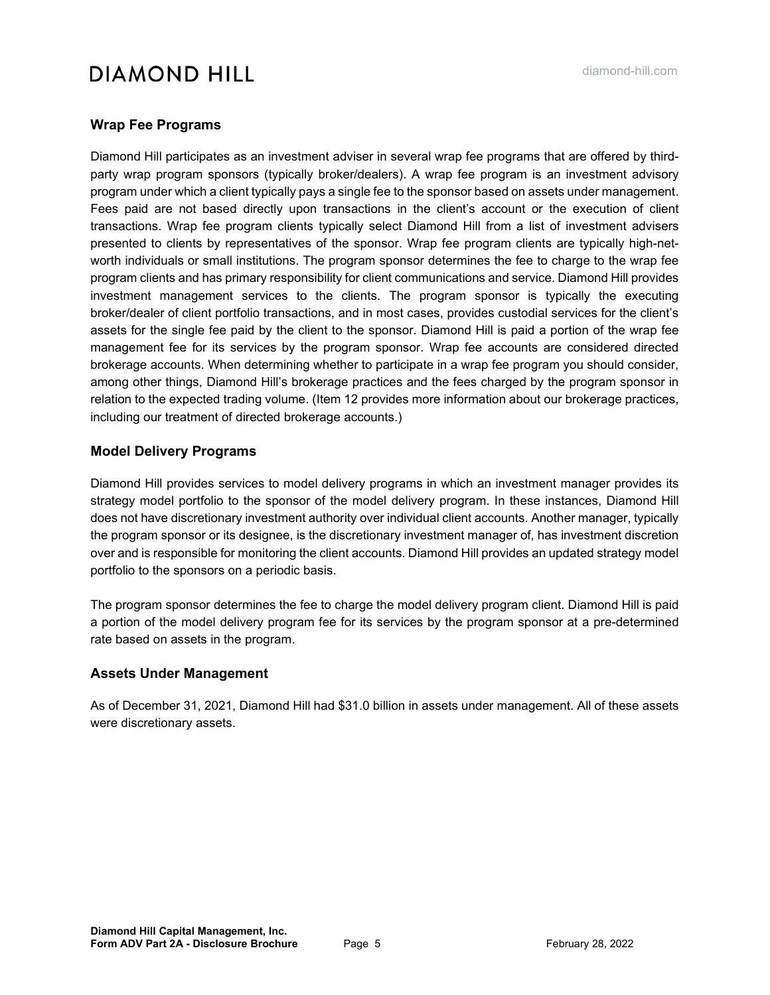### **Wrap Fee Programs**

Diamond Hill participates as an investment adviser in several wrap fee programs that are offered by thirdparty wrap program sponsors (typically broker/dealers). A wrap fee program is an investment advisory program under which a client typically pays a single fee to the sponsor based on assets under management. Fees paid are not based directly upon transactions in the client's account or the execution of client transactions. Wrap fee program clients typically select Diamond Hill from a list of investment advisers presented to clients by representatives of the sponsor. Wrap fee program clients are typically high-networth individuals or small institutions. The program sponsor determines the fee to charge to the wrap fee program clients and has primary responsibility for client communications and service. Diamond Hill provides investment management services to the clients. The program sponsor is typically the executing broker/dealer of client portfolio transactions, and in most cases, provides custodial services for the client's assets for the single fee paid by the client to the sponsor. Diamond Hill is paid a portion of the wrap fee management fee for its services by the program sponsor. Wrap fee accounts are considered directed brokerage accounts. When determining whether to participate in a wrap fee program you should consider, among other things, Diamond Hill's brokerage practices and the fees charged by the program sponsor in relation to the expected trading volume. (Item 12 provides more information about our brokerage practices, including our treatment of directed brokerage accounts.)

#### **Model Delivery Programs**

Diamond Hill provides services to model delivery programs in which an investment manager provides its strategy model portfolio to the sponsor of the model delivery program. In these instances, Diamond Hill does not have discretionary investment authority over individual client accounts. Another manager, typically the program sponsor or its designee, is the discretionary investment manager of, has investment discretion over and is responsible for monitoring the client accounts. Diamond Hill provides an updated strategy model portfolio to the sponsors on a periodic basis.

The program sponsor determines the fee to charge the model delivery program client. Diamond Hill is paid a portion of the model delivery program fee for its services by the program sponsor at a pre-determined rate based on assets in the program.

#### **Assets Under Management**

As of December 31, 2021, Diamond Hill had \$31.0 billion in assets under management. All of these assets were discretionary assets.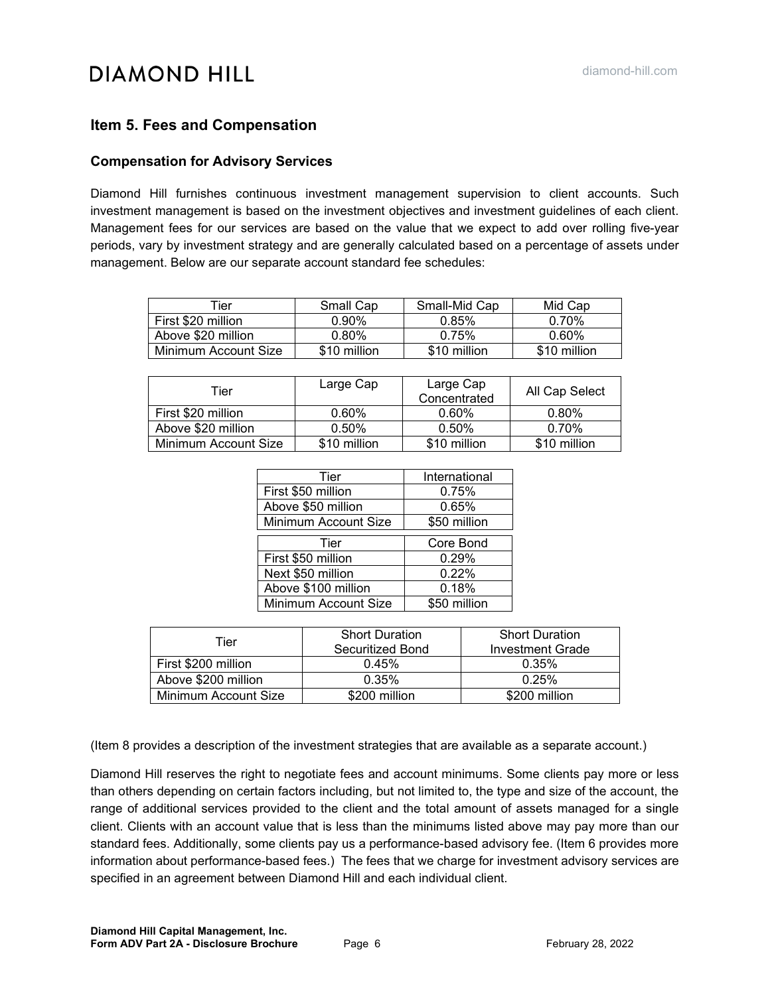## <span id="page-5-0"></span>**Item 5. Fees and Compensation**

#### **Compensation for Advisory Services**

Diamond Hill furnishes continuous investment management supervision to client accounts. Such investment management is based on the investment objectives and investment guidelines of each client. Management fees for our services are based on the value that we expect to add over rolling five-year periods, vary by investment strategy and are generally calculated based on a percentage of assets under management. Below are our separate account standard fee schedules:

| Tier                 | Small Cap    | Small-Mid Cap | Mid Cap      |
|----------------------|--------------|---------------|--------------|
| First \$20 million   | $0.90\%$     | 0.85%         | 0.70%        |
| Above \$20 million   | $0.80\%$     | 0.75%         | $0.60\%$     |
| Minimum Account Size | \$10 million | \$10 million  | \$10 million |

| Tier                 | Large Cap    | Large Cap<br>Concentrated | All Cap Select |
|----------------------|--------------|---------------------------|----------------|
| First \$20 million   | 0.60%        | 0.60%                     | 0.80%          |
| Above \$20 million   | $0.50\%$     | $0.50\%$                  | $0.70\%$       |
| Minimum Account Size | \$10 million | \$10 million              | \$10 million   |

| Tier                 | International |  |  |
|----------------------|---------------|--|--|
| First \$50 million   | 0.75%         |  |  |
| Above \$50 million   | 0.65%         |  |  |
| Minimum Account Size | \$50 million  |  |  |
|                      |               |  |  |
| Tier                 | Core Bond     |  |  |
| First \$50 million   | 0.29%         |  |  |
| Next \$50 million    | 0.22%         |  |  |
| Above \$100 million  | 0.18%         |  |  |
| Minimum Account Size | \$50 million  |  |  |

| Tier                 | <b>Short Duration</b><br>Securitized Bond | <b>Short Duration</b><br><b>Investment Grade</b> |
|----------------------|-------------------------------------------|--------------------------------------------------|
| First \$200 million  | 0.45%                                     | 0.35%                                            |
| Above \$200 million  | 0.35%                                     | 0.25%                                            |
| Minimum Account Size | \$200 million                             | \$200 million                                    |

(Item 8 provides a description of the investment strategies that are available as a separate account.)

Diamond Hill reserves the right to negotiate fees and account minimums. Some clients pay more or less than others depending on certain factors including, but not limited to, the type and size of the account, the range of additional services provided to the client and the total amount of assets managed for a single client. Clients with an account value that is less than the minimums listed above may pay more than our standard fees. Additionally, some clients pay us a performance-based advisory fee. (Item 6 provides more information about performance-based fees.) The fees that we charge for investment advisory services are specified in an agreement between Diamond Hill and each individual client.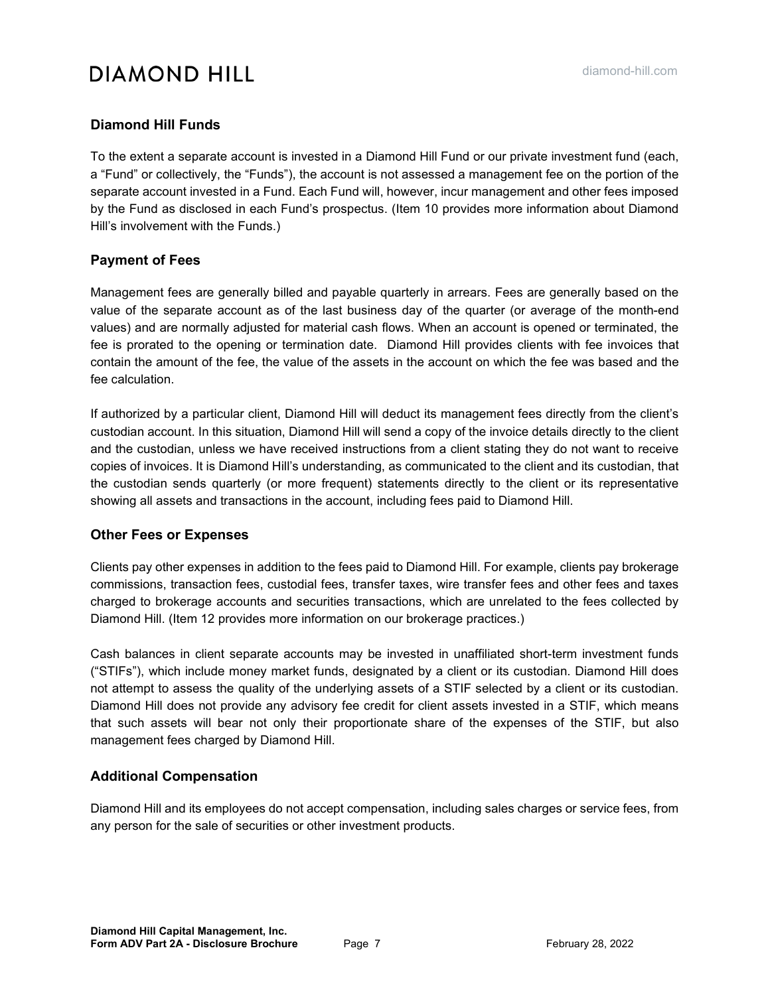### **Diamond Hill Funds**

To the extent a separate account is invested in a Diamond Hill Fund or our private investment fund (each, a "Fund" or collectively, the "Funds"), the account is not assessed a management fee on the portion of the separate account invested in a Fund. Each Fund will, however, incur management and other fees imposed by the Fund as disclosed in each Fund's prospectus. (Item 10 provides more information about Diamond Hill's involvement with the Funds.)

### **Payment of Fees**

Management fees are generally billed and payable quarterly in arrears. Fees are generally based on the value of the separate account as of the last business day of the quarter (or average of the month-end values) and are normally adjusted for material cash flows. When an account is opened or terminated, the fee is prorated to the opening or termination date. Diamond Hill provides clients with fee invoices that contain the amount of the fee, the value of the assets in the account on which the fee was based and the fee calculation.

If authorized by a particular client, Diamond Hill will deduct its management fees directly from the client's custodian account. In this situation, Diamond Hill will send a copy of the invoice details directly to the client and the custodian, unless we have received instructions from a client stating they do not want to receive copies of invoices. It is Diamond Hill's understanding, as communicated to the client and its custodian, that the custodian sends quarterly (or more frequent) statements directly to the client or its representative showing all assets and transactions in the account, including fees paid to Diamond Hill.

### **Other Fees or Expenses**

Clients pay other expenses in addition to the fees paid to Diamond Hill. For example, clients pay brokerage commissions, transaction fees, custodial fees, transfer taxes, wire transfer fees and other fees and taxes charged to brokerage accounts and securities transactions, which are unrelated to the fees collected by Diamond Hill. (Item 12 provides more information on our brokerage practices.)

Cash balances in client separate accounts may be invested in unaffiliated short-term investment funds ("STIFs"), which include money market funds, designated by a client or its custodian. Diamond Hill does not attempt to assess the quality of the underlying assets of a STIF selected by a client or its custodian. Diamond Hill does not provide any advisory fee credit for client assets invested in a STIF, which means that such assets will bear not only their proportionate share of the expenses of the STIF, but also management fees charged by Diamond Hill.

### **Additional Compensation**

<span id="page-6-0"></span>Diamond Hill and its employees do not accept compensation, including sales charges or service fees, from any person for the sale of securities or other investment products.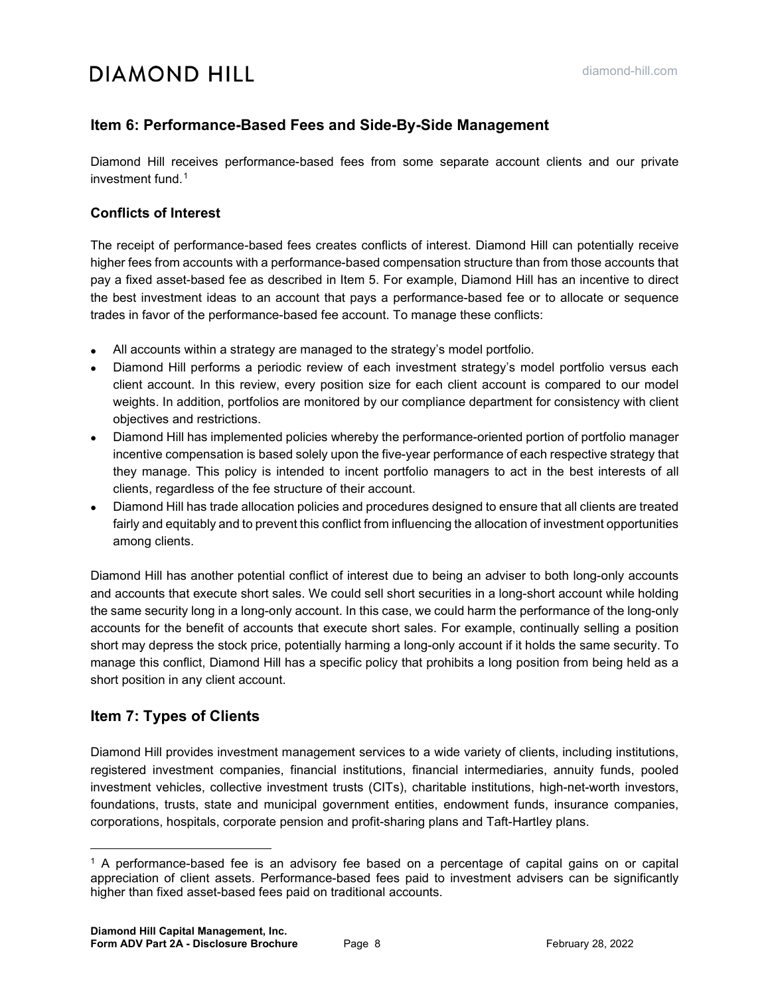# **Item 6: Performance-Based Fees and Side-By-Side Management**

Diamond Hill receives performance-based fees from some separate account clients and our private investment fund. [1](#page-7-1) 

#### **Conflicts of Interest**

The receipt of performance-based fees creates conflicts of interest. Diamond Hill can potentially receive higher fees from accounts with a performance-based compensation structure than from those accounts that pay a fixed asset-based fee as described in Item 5. For example, Diamond Hill has an incentive to direct the best investment ideas to an account that pays a performance-based fee or to allocate or sequence trades in favor of the performance-based fee account. To manage these conflicts:

- All accounts within a strategy are managed to the strategy's model portfolio.
- Diamond Hill performs a periodic review of each investment strategy's model portfolio versus each client account. In this review, every position size for each client account is compared to our model weights. In addition, portfolios are monitored by our compliance department for consistency with client objectives and restrictions.
- Diamond Hill has implemented policies whereby the performance-oriented portion of portfolio manager incentive compensation is based solely upon the five-year performance of each respective strategy that they manage. This policy is intended to incent portfolio managers to act in the best interests of all clients, regardless of the fee structure of their account.
- Diamond Hill has trade allocation policies and procedures designed to ensure that all clients are treated fairly and equitably and to prevent this conflict from influencing the allocation of investment opportunities among clients.

Diamond Hill has another potential conflict of interest due to being an adviser to both long-only accounts and accounts that execute short sales. We could sell short securities in a long-short account while holding the same security long in a long-only account. In this case, we could harm the performance of the long-only accounts for the benefit of accounts that execute short sales. For example, continually selling a position short may depress the stock price, potentially harming a long-only account if it holds the same security. To manage this conflict, Diamond Hill has a specific policy that prohibits a long position from being held as a short position in any client account.

# <span id="page-7-0"></span>**Item 7: Types of Clients**

Diamond Hill provides investment management services to a wide variety of clients, including institutions, registered investment companies, financial institutions, financial intermediaries, annuity funds, pooled investment vehicles, collective investment trusts (CITs), charitable institutions, high-net-worth investors, foundations, trusts, state and municipal government entities, endowment funds, insurance companies, corporations, hospitals, corporate pension and profit-sharing plans and Taft-Hartley plans.

<span id="page-7-1"></span><sup>1</sup> A performance-based fee is an advisory fee based on a percentage of capital gains on or capital appreciation of client assets. Performance-based fees paid to investment advisers can be significantly higher than fixed asset-based fees paid on traditional accounts.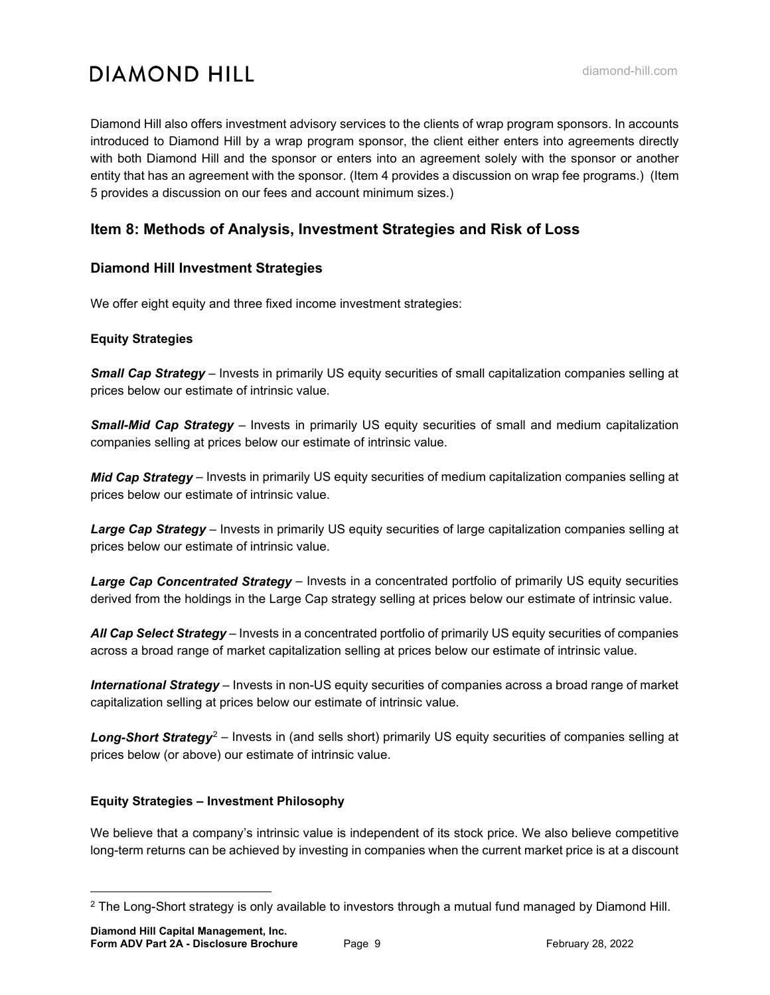Diamond Hill also offers investment advisory services to the clients of wrap program sponsors. In accounts introduced to Diamond Hill by a wrap program sponsor, the client either enters into agreements directly with both Diamond Hill and the sponsor or enters into an agreement solely with the sponsor or another entity that has an agreement with the sponsor. (Item 4 provides a discussion on wrap fee programs.) (Item 5 provides a discussion on our fees and account minimum sizes.)

# <span id="page-8-0"></span>**Item 8: Methods of Analysis, Investment Strategies and Risk of Loss**

### **Diamond Hill Investment Strategies**

We offer eight equity and three fixed income investment strategies:

#### **Equity Strategies**

*Small Cap Strategy* – Invests in primarily US equity securities of small capitalization companies selling at prices below our estimate of intrinsic value.

*Small-Mid Cap Strategy* – Invests in primarily US equity securities of small and medium capitalization companies selling at prices below our estimate of intrinsic value.

*Mid Cap Strategy* – Invests in primarily US equity securities of medium capitalization companies selling at prices below our estimate of intrinsic value.

*Large Cap Strategy* – Invests in primarily US equity securities of large capitalization companies selling at prices below our estimate of intrinsic value.

**Large Cap Concentrated Strategy** – Invests in a concentrated portfolio of primarily US equity securities derived from the holdings in the Large Cap strategy selling at prices below our estimate of intrinsic value.

*All Cap Select Strategy* – Invests in a concentrated portfolio of primarily US equity securities of companies across a broad range of market capitalization selling at prices below our estimate of intrinsic value.

*International Strategy* – Invests in non-US equity securities of companies across a broad range of market capitalization selling at prices below our estimate of intrinsic value.

**Long-Short Strategy**<sup>[2](#page-8-1)</sup> – Invests in (and sells short) primarily US equity securities of companies selling at prices below (or above) our estimate of intrinsic value.

### **Equity Strategies – Investment Philosophy**

We believe that a company's intrinsic value is independent of its stock price. We also believe competitive long-term returns can be achieved by investing in companies when the current market price is at a discount

<span id="page-8-1"></span><sup>&</sup>lt;sup>2</sup> The Long-Short strategy is only available to investors through a mutual fund managed by Diamond Hill.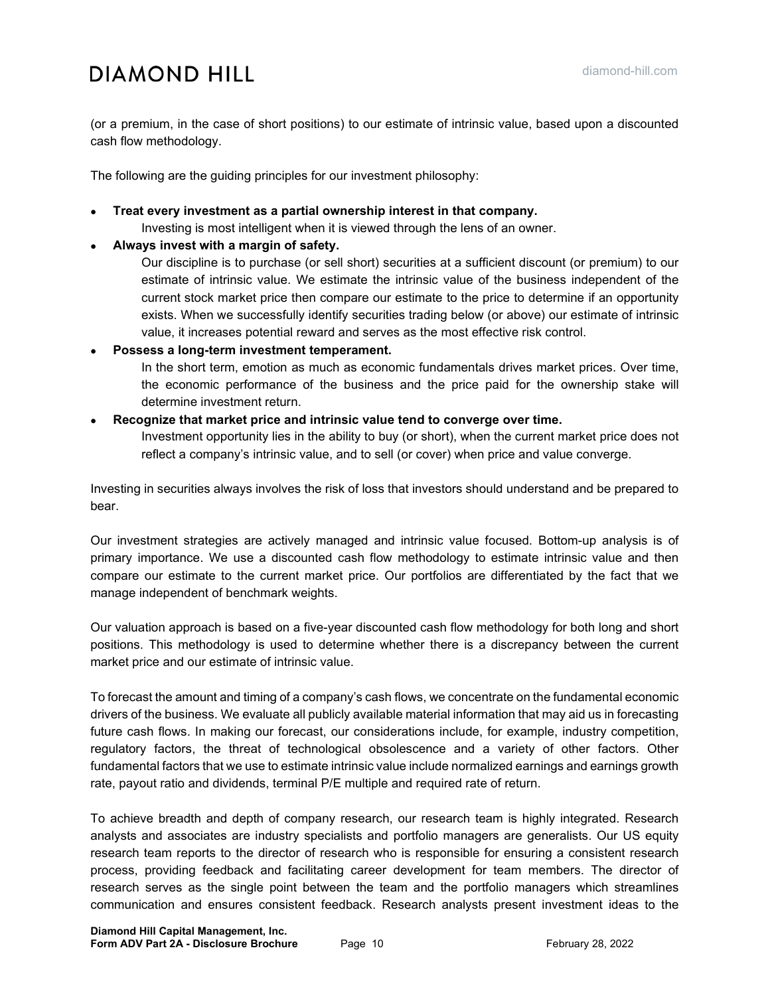(or a premium, in the case of short positions) to our estimate of intrinsic value, based upon a discounted cash flow methodology.

The following are the guiding principles for our investment philosophy:

- **Treat every investment as a partial ownership interest in that company.** Investing is most intelligent when it is viewed through the lens of an owner.
- **Always invest with a margin of safety.**

Our discipline is to purchase (or sell short) securities at a sufficient discount (or premium) to our estimate of intrinsic value. We estimate the intrinsic value of the business independent of the current stock market price then compare our estimate to the price to determine if an opportunity exists. When we successfully identify securities trading below (or above) our estimate of intrinsic value, it increases potential reward and serves as the most effective risk control.

#### • **Possess a long-term investment temperament.**

In the short term, emotion as much as economic fundamentals drives market prices. Over time, the economic performance of the business and the price paid for the ownership stake will determine investment return.

#### • **Recognize that market price and intrinsic value tend to converge over time.**

Investment opportunity lies in the ability to buy (or short), when the current market price does not reflect a company's intrinsic value, and to sell (or cover) when price and value converge.

Investing in securities always involves the risk of loss that investors should understand and be prepared to bear.

Our investment strategies are actively managed and intrinsic value focused. Bottom-up analysis is of primary importance. We use a discounted cash flow methodology to estimate intrinsic value and then compare our estimate to the current market price. Our portfolios are differentiated by the fact that we manage independent of benchmark weights.

Our valuation approach is based on a five-year discounted cash flow methodology for both long and short positions. This methodology is used to determine whether there is a discrepancy between the current market price and our estimate of intrinsic value.

To forecast the amount and timing of a company's cash flows, we concentrate on the fundamental economic drivers of the business. We evaluate all publicly available material information that may aid us in forecasting future cash flows. In making our forecast, our considerations include, for example, industry competition, regulatory factors, the threat of technological obsolescence and a variety of other factors. Other fundamental factors that we use to estimate intrinsic value include normalized earnings and earnings growth rate, payout ratio and dividends, terminal P/E multiple and required rate of return.

To achieve breadth and depth of company research, our research team is highly integrated. Research analysts and associates are industry specialists and portfolio managers are generalists. Our US equity research team reports to the director of research who is responsible for ensuring a consistent research process, providing feedback and facilitating career development for team members. The director of research serves as the single point between the team and the portfolio managers which streamlines communication and ensures consistent feedback. Research analysts present investment ideas to the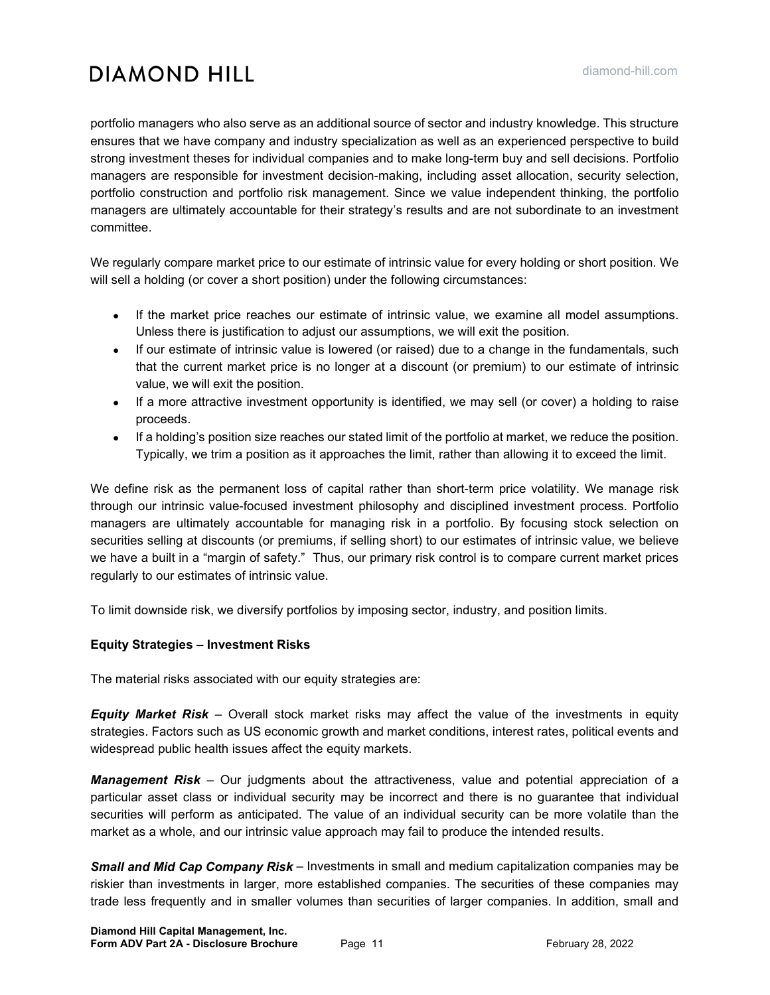portfolio managers who also serve as an additional source of sector and industry knowledge. This structure ensures that we have company and industry specialization as well as an experienced perspective to build strong investment theses for individual companies and to make long-term buy and sell decisions. Portfolio managers are responsible for investment decision-making, including asset allocation, security selection, portfolio construction and portfolio risk management. Since we value independent thinking, the portfolio managers are ultimately accountable for their strategy's results and are not subordinate to an investment committee.

We regularly compare market price to our estimate of intrinsic value for every holding or short position. We will sell a holding (or cover a short position) under the following circumstances:

- If the market price reaches our estimate of intrinsic value, we examine all model assumptions. Unless there is justification to adjust our assumptions, we will exit the position.
- If our estimate of intrinsic value is lowered (or raised) due to a change in the fundamentals, such that the current market price is no longer at a discount (or premium) to our estimate of intrinsic value, we will exit the position.
- If a more attractive investment opportunity is identified, we may sell (or cover) a holding to raise proceeds.
- If a holding's position size reaches our stated limit of the portfolio at market, we reduce the position. Typically, we trim a position as it approaches the limit, rather than allowing it to exceed the limit.

We define risk as the permanent loss of capital rather than short-term price volatility. We manage risk through our intrinsic value-focused investment philosophy and disciplined investment process. Portfolio managers are ultimately accountable for managing risk in a portfolio. By focusing stock selection on securities selling at discounts (or premiums, if selling short) to our estimates of intrinsic value, we believe we have a built in a "margin of safety." Thus, our primary risk control is to compare current market prices regularly to our estimates of intrinsic value.

To limit downside risk, we diversify portfolios by imposing sector, industry, and position limits.

#### **Equity Strategies – Investment Risks**

The material risks associated with our equity strategies are:

*Equity Market Risk* – Overall stock market risks may affect the value of the investments in equity strategies. Factors such as US economic growth and market conditions, interest rates, political events and widespread public health issues affect the equity markets.

*Management Risk* – Our judgments about the attractiveness, value and potential appreciation of a particular asset class or individual security may be incorrect and there is no guarantee that individual securities will perform as anticipated. The value of an individual security can be more volatile than the market as a whole, and our intrinsic value approach may fail to produce the intended results.

*Small and Mid Cap Company Risk* – Investments in small and medium capitalization companies may be riskier than investments in larger, more established companies. The securities of these companies may trade less frequently and in smaller volumes than securities of larger companies. In addition, small and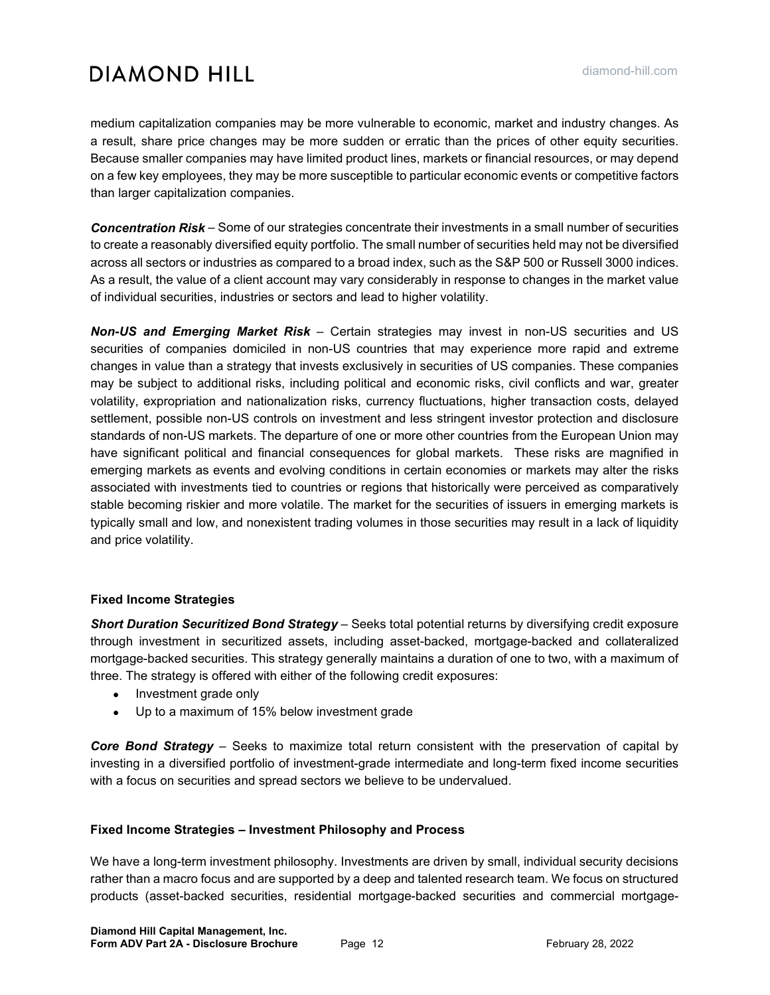medium capitalization companies may be more vulnerable to economic, market and industry changes. As a result, share price changes may be more sudden or erratic than the prices of other equity securities. Because smaller companies may have limited product lines, markets or financial resources, or may depend on a few key employees, they may be more susceptible to particular economic events or competitive factors than larger capitalization companies.

*Concentration Risk* – Some of our strategies concentrate their investments in a small number of securities to create a reasonably diversified equity portfolio. The small number of securities held may not be diversified across all sectors or industries as compared to a broad index, such as the S&P 500 or Russell 3000 indices. As a result, the value of a client account may vary considerably in response to changes in the market value of individual securities, industries or sectors and lead to higher volatility.

*Non-US and Emerging Market Risk* – Certain strategies may invest in non-US securities and US securities of companies domiciled in non-US countries that may experience more rapid and extreme changes in value than a strategy that invests exclusively in securities of US companies. These companies may be subject to additional risks, including political and economic risks, civil conflicts and war, greater volatility, expropriation and nationalization risks, currency fluctuations, higher transaction costs, delayed settlement, possible non-US controls on investment and less stringent investor protection and disclosure standards of non-US markets. The departure of one or more other countries from the European Union may have significant political and financial consequences for global markets. These risks are magnified in emerging markets as events and evolving conditions in certain economies or markets may alter the risks associated with investments tied to countries or regions that historically were perceived as comparatively stable becoming riskier and more volatile. The market for the securities of issuers in emerging markets is typically small and low, and nonexistent trading volumes in those securities may result in a lack of liquidity and price volatility.

#### **Fixed Income Strategies**

*Short Duration Securitized Bond Strategy* – Seeks total potential returns by diversifying credit exposure through investment in securitized assets, including asset-backed, mortgage-backed and collateralized mortgage-backed securities. This strategy generally maintains a duration of one to two, with a maximum of three. The strategy is offered with either of the following credit exposures:

- Investment grade only
- Up to a maximum of 15% below investment grade

*Core Bond Strategy* – Seeks to maximize total return consistent with the preservation of capital by investing in a diversified portfolio of investment-grade intermediate and long-term fixed income securities with a focus on securities and spread sectors we believe to be undervalued.

#### **Fixed Income Strategies – Investment Philosophy and Process**

We have a long-term investment philosophy. Investments are driven by small, individual security decisions rather than a macro focus and are supported by a deep and talented research team. We focus on structured products (asset-backed securities, residential mortgage-backed securities and commercial mortgage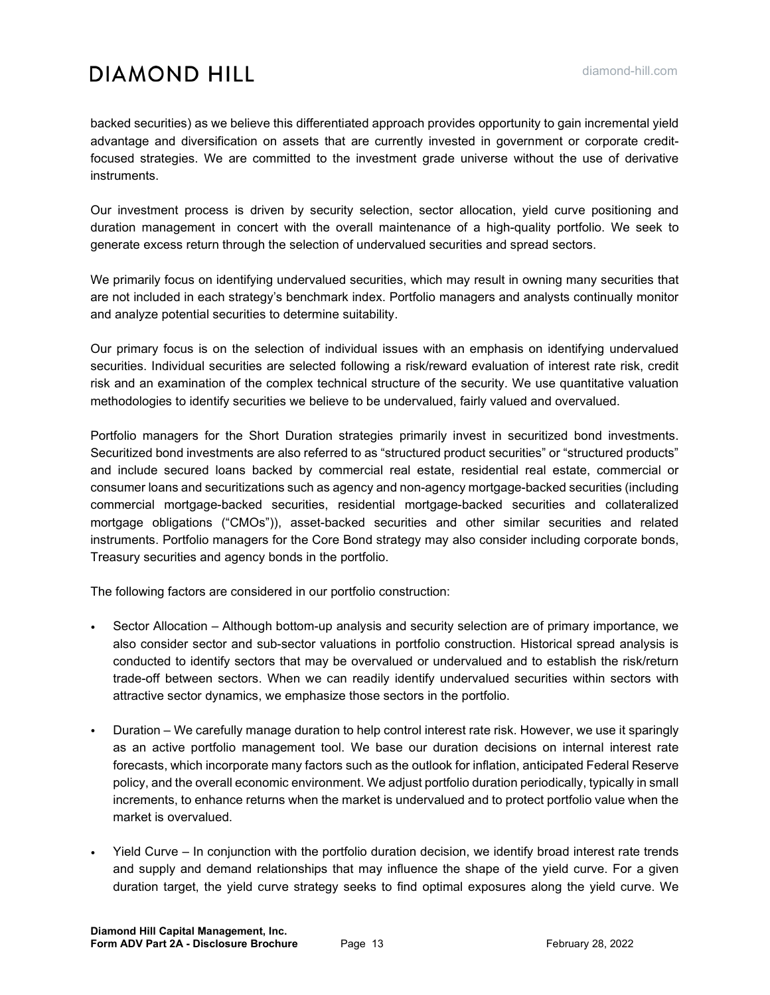backed securities) as we believe this differentiated approach provides opportunity to gain incremental yield advantage and diversification on assets that are currently invested in government or corporate creditfocused strategies. We are committed to the investment grade universe without the use of derivative instruments.

Our investment process is driven by security selection, sector allocation, yield curve positioning and duration management in concert with the overall maintenance of a high-quality portfolio. We seek to generate excess return through the selection of undervalued securities and spread sectors.

We primarily focus on identifying undervalued securities, which may result in owning many securities that are not included in each strategy's benchmark index. Portfolio managers and analysts continually monitor and analyze potential securities to determine suitability.

Our primary focus is on the selection of individual issues with an emphasis on identifying undervalued securities. Individual securities are selected following a risk/reward evaluation of interest rate risk, credit risk and an examination of the complex technical structure of the security. We use quantitative valuation methodologies to identify securities we believe to be undervalued, fairly valued and overvalued.

Portfolio managers for the Short Duration strategies primarily invest in securitized bond investments. Securitized bond investments are also referred to as "structured product securities" or "structured products" and include secured loans backed by commercial real estate, residential real estate, commercial or consumer loans and securitizations such as agency and non-agency mortgage-backed securities (including commercial mortgage-backed securities, residential mortgage-backed securities and collateralized mortgage obligations ("CMOs")), asset-backed securities and other similar securities and related instruments. Portfolio managers for the Core Bond strategy may also consider including corporate bonds, Treasury securities and agency bonds in the portfolio.

The following factors are considered in our portfolio construction:

- Sector Allocation Although bottom-up analysis and security selection are of primary importance, we also consider sector and sub-sector valuations in portfolio construction. Historical spread analysis is conducted to identify sectors that may be overvalued or undervalued and to establish the risk/return trade-off between sectors. When we can readily identify undervalued securities within sectors with attractive sector dynamics, we emphasize those sectors in the portfolio.
- Duration We carefully manage duration to help control interest rate risk. However, we use it sparingly as an active portfolio management tool. We base our duration decisions on internal interest rate forecasts, which incorporate many factors such as the outlook for inflation, anticipated Federal Reserve policy, and the overall economic environment. We adjust portfolio duration periodically, typically in small increments, to enhance returns when the market is undervalued and to protect portfolio value when the market is overvalued.
- Yield Curve In conjunction with the portfolio duration decision, we identify broad interest rate trends and supply and demand relationships that may influence the shape of the yield curve. For a given duration target, the yield curve strategy seeks to find optimal exposures along the yield curve. We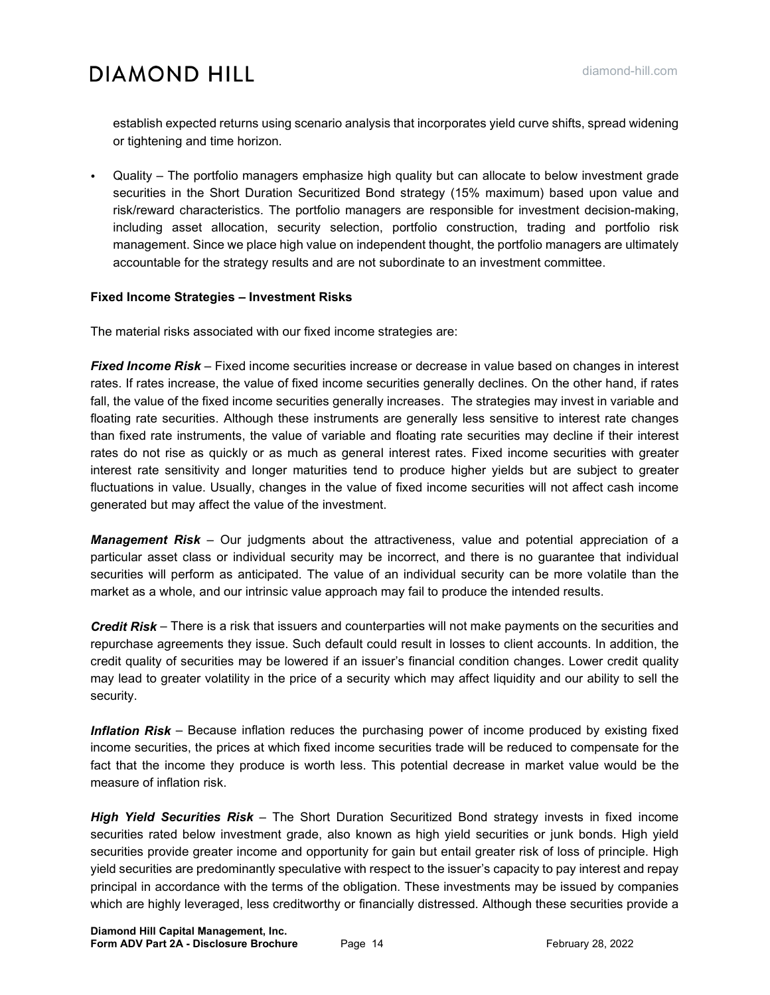establish expected returns using scenario analysis that incorporates yield curve shifts, spread widening or tightening and time horizon.

• Quality – The portfolio managers emphasize high quality but can allocate to below investment grade securities in the Short Duration Securitized Bond strategy (15% maximum) based upon value and risk/reward characteristics. The portfolio managers are responsible for investment decision-making, including asset allocation, security selection, portfolio construction, trading and portfolio risk management. Since we place high value on independent thought, the portfolio managers are ultimately accountable for the strategy results and are not subordinate to an investment committee.

#### **Fixed Income Strategies – Investment Risks**

The material risks associated with our fixed income strategies are:

*Fixed Income Risk* – Fixed income securities increase or decrease in value based on changes in interest rates. If rates increase, the value of fixed income securities generally declines. On the other hand, if rates fall, the value of the fixed income securities generally increases. The strategies may invest in variable and floating rate securities. Although these instruments are generally less sensitive to interest rate changes than fixed rate instruments, the value of variable and floating rate securities may decline if their interest rates do not rise as quickly or as much as general interest rates. Fixed income securities with greater interest rate sensitivity and longer maturities tend to produce higher yields but are subject to greater fluctuations in value. Usually, changes in the value of fixed income securities will not affect cash income generated but may affect the value of the investment.

*Management Risk* – Our judgments about the attractiveness, value and potential appreciation of a particular asset class or individual security may be incorrect, and there is no guarantee that individual securities will perform as anticipated. The value of an individual security can be more volatile than the market as a whole, and our intrinsic value approach may fail to produce the intended results.

*Credit Risk* – There is a risk that issuers and counterparties will not make payments on the securities and repurchase agreements they issue. Such default could result in losses to client accounts. In addition, the credit quality of securities may be lowered if an issuer's financial condition changes. Lower credit quality may lead to greater volatility in the price of a security which may affect liquidity and our ability to sell the security.

*Inflation Risk* – Because inflation reduces the purchasing power of income produced by existing fixed income securities, the prices at which fixed income securities trade will be reduced to compensate for the fact that the income they produce is worth less. This potential decrease in market value would be the measure of inflation risk.

*High Yield Securities Risk* – The Short Duration Securitized Bond strategy invests in fixed income securities rated below investment grade, also known as high yield securities or junk bonds. High yield securities provide greater income and opportunity for gain but entail greater risk of loss of principle. High yield securities are predominantly speculative with respect to the issuer's capacity to pay interest and repay principal in accordance with the terms of the obligation. These investments may be issued by companies which are highly leveraged, less creditworthy or financially distressed. Although these securities provide a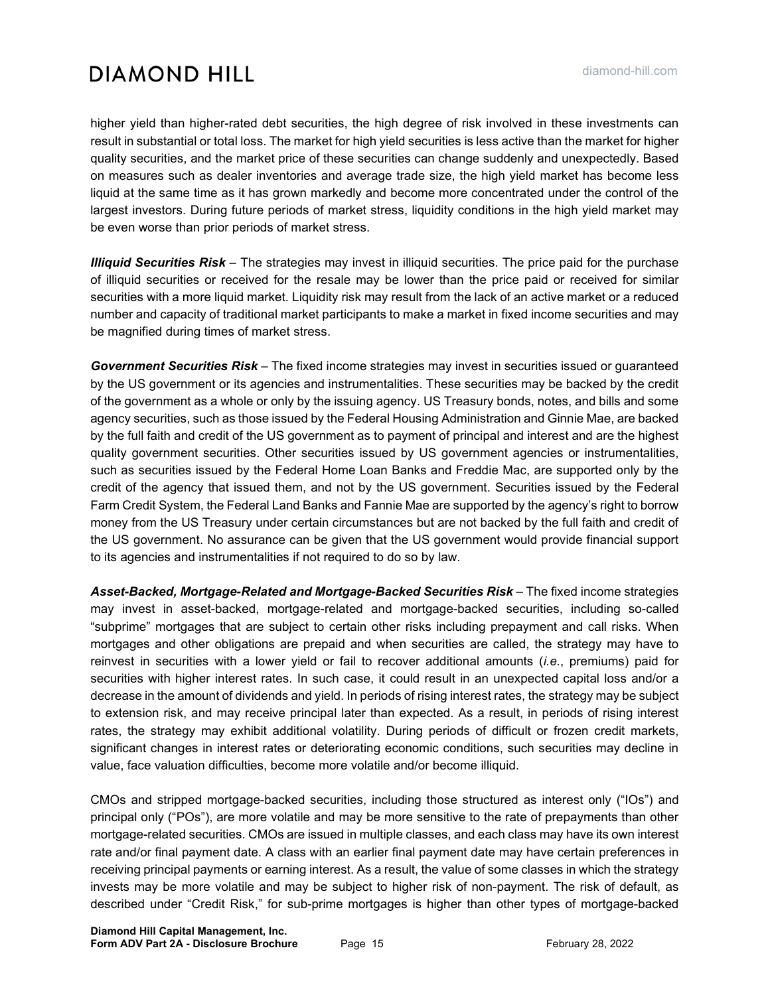higher yield than higher-rated debt securities, the high degree of risk involved in these investments can result in substantial or total loss. The market for high yield securities is less active than the market for higher quality securities, and the market price of these securities can change suddenly and unexpectedly. Based on measures such as dealer inventories and average trade size, the high yield market has become less liquid at the same time as it has grown markedly and become more concentrated under the control of the largest investors. During future periods of market stress, liquidity conditions in the high yield market may be even worse than prior periods of market stress.

*Illiquid Securities Risk* – The strategies may invest in illiquid securities. The price paid for the purchase of illiquid securities or received for the resale may be lower than the price paid or received for similar securities with a more liquid market. Liquidity risk may result from the lack of an active market or a reduced number and capacity of traditional market participants to make a market in fixed income securities and may be magnified during times of market stress.

*Government Securities Risk* – The fixed income strategies may invest in securities issued or guaranteed by the US government or its agencies and instrumentalities. These securities may be backed by the credit of the government as a whole or only by the issuing agency. US Treasury bonds, notes, and bills and some agency securities, such as those issued by the Federal Housing Administration and Ginnie Mae, are backed by the full faith and credit of the US government as to payment of principal and interest and are the highest quality government securities. Other securities issued by US government agencies or instrumentalities, such as securities issued by the Federal Home Loan Banks and Freddie Mac, are supported only by the credit of the agency that issued them, and not by the US government. Securities issued by the Federal Farm Credit System, the Federal Land Banks and Fannie Mae are supported by the agency's right to borrow money from the US Treasury under certain circumstances but are not backed by the full faith and credit of the US government. No assurance can be given that the US government would provide financial support to its agencies and instrumentalities if not required to do so by law.

*Asset-Backed, Mortgage-Related and Mortgage-Backed Securities Risk* – The fixed income strategies may invest in asset-backed, mortgage-related and mortgage-backed securities, including so-called "subprime" mortgages that are subject to certain other risks including prepayment and call risks. When mortgages and other obligations are prepaid and when securities are called, the strategy may have to reinvest in securities with a lower yield or fail to recover additional amounts (*i.e.*, premiums) paid for securities with higher interest rates. In such case, it could result in an unexpected capital loss and/or a decrease in the amount of dividends and yield. In periods of rising interest rates, the strategy may be subject to extension risk, and may receive principal later than expected. As a result, in periods of rising interest rates, the strategy may exhibit additional volatility. During periods of difficult or frozen credit markets, significant changes in interest rates or deteriorating economic conditions, such securities may decline in value, face valuation difficulties, become more volatile and/or become illiquid.

CMOs and stripped mortgage-backed securities, including those structured as interest only ("IOs") and principal only ("POs"), are more volatile and may be more sensitive to the rate of prepayments than other mortgage-related securities. CMOs are issued in multiple classes, and each class may have its own interest rate and/or final payment date. A class with an earlier final payment date may have certain preferences in receiving principal payments or earning interest. As a result, the value of some classes in which the strategy invests may be more volatile and may be subject to higher risk of non-payment. The risk of default, as described under "Credit Risk," for sub-prime mortgages is higher than other types of mortgage-backed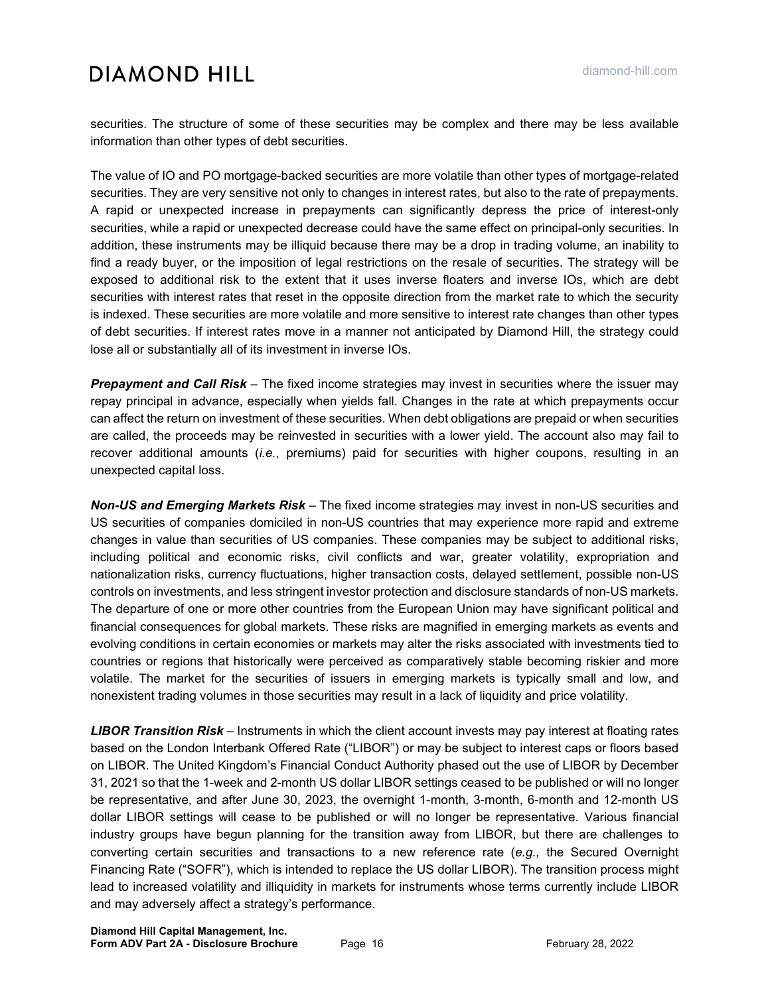securities. The structure of some of these securities may be complex and there may be less available information than other types of debt securities.

The value of IO and PO mortgage-backed securities are more volatile than other types of mortgage-related securities. They are very sensitive not only to changes in interest rates, but also to the rate of prepayments. A rapid or unexpected increase in prepayments can significantly depress the price of interest-only securities, while a rapid or unexpected decrease could have the same effect on principal-only securities. In addition, these instruments may be illiquid because there may be a drop in trading volume, an inability to find a ready buyer, or the imposition of legal restrictions on the resale of securities. The strategy will be exposed to additional risk to the extent that it uses inverse floaters and inverse IOs, which are debt securities with interest rates that reset in the opposite direction from the market rate to which the security is indexed. These securities are more volatile and more sensitive to interest rate changes than other types of debt securities. If interest rates move in a manner not anticipated by Diamond Hill, the strategy could lose all or substantially all of its investment in inverse IOs.

*Prepayment and Call Risk* – The fixed income strategies may invest in securities where the issuer may repay principal in advance, especially when yields fall. Changes in the rate at which prepayments occur can affect the return on investment of these securities. When debt obligations are prepaid or when securities are called, the proceeds may be reinvested in securities with a lower yield. The account also may fail to recover additional amounts (*i.e.*, premiums) paid for securities with higher coupons, resulting in an unexpected capital loss.

*Non-US and Emerging Markets Risk* – The fixed income strategies may invest in non-US securities and US securities of companies domiciled in non-US countries that may experience more rapid and extreme changes in value than securities of US companies. These companies may be subject to additional risks, including political and economic risks, civil conflicts and war, greater volatility, expropriation and nationalization risks, currency fluctuations, higher transaction costs, delayed settlement, possible non-US controls on investments, and less stringent investor protection and disclosure standards of non-US markets. The departure of one or more other countries from the European Union may have significant political and financial consequences for global markets. These risks are magnified in emerging markets as events and evolving conditions in certain economies or markets may alter the risks associated with investments tied to countries or regions that historically were perceived as comparatively stable becoming riskier and more volatile. The market for the securities of issuers in emerging markets is typically small and low, and nonexistent trading volumes in those securities may result in a lack of liquidity and price volatility.

*LIBOR Transition Risk* – Instruments in which the client account invests may pay interest at floating rates based on the London Interbank Offered Rate ("LIBOR") or may be subject to interest caps or floors based on LIBOR. The United Kingdom's Financial Conduct Authority phased out the use of LIBOR by December 31, 2021 so that the 1-week and 2-month US dollar LIBOR settings ceased to be published or will no longer be representative, and after June 30, 2023, the overnight 1-month, 3-month, 6-month and 12-month US dollar LIBOR settings will cease to be published or will no longer be representative. Various financial industry groups have begun planning for the transition away from LIBOR, but there are challenges to converting certain securities and transactions to a new reference rate (*e.g.,* the Secured Overnight Financing Rate ("SOFR"), which is intended to replace the US dollar LIBOR). The transition process might lead to increased volatility and illiquidity in markets for instruments whose terms currently include LIBOR and may adversely affect a strategy's performance.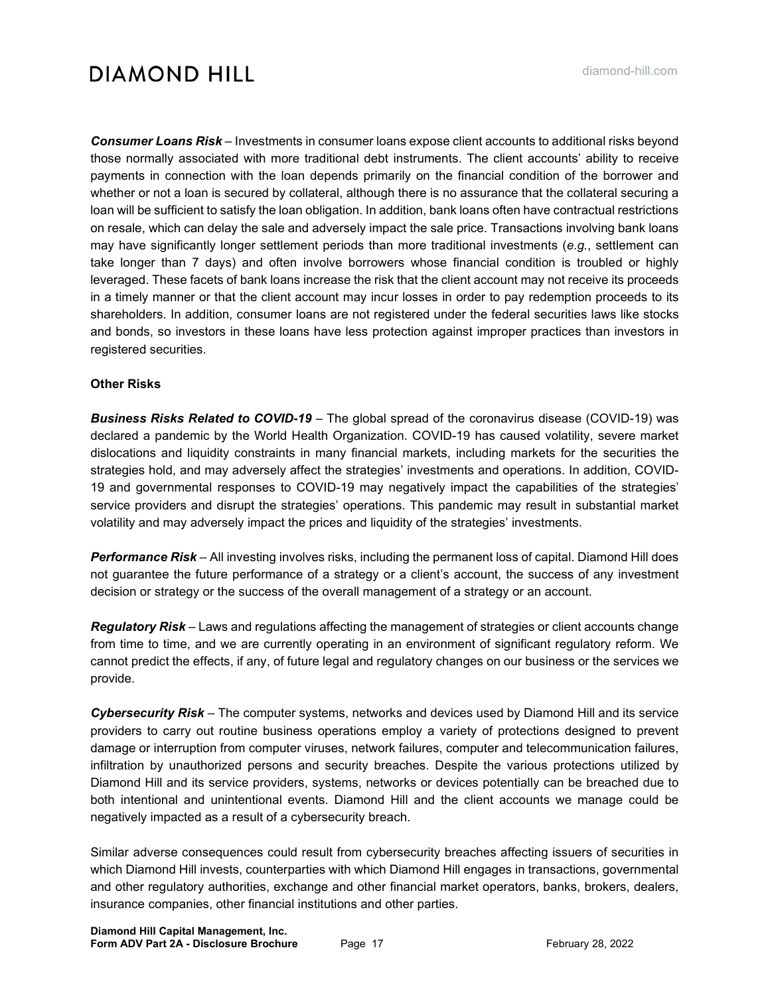*Consumer Loans Risk* – Investments in consumer loans expose client accounts to additional risks beyond those normally associated with more traditional debt instruments. The client accounts' ability to receive payments in connection with the loan depends primarily on the financial condition of the borrower and whether or not a loan is secured by collateral, although there is no assurance that the collateral securing a loan will be sufficient to satisfy the loan obligation. In addition, bank loans often have contractual restrictions on resale, which can delay the sale and adversely impact the sale price. Transactions involving bank loans may have significantly longer settlement periods than more traditional investments (*e.g.*, settlement can take longer than 7 days) and often involve borrowers whose financial condition is troubled or highly leveraged. These facets of bank loans increase the risk that the client account may not receive its proceeds in a timely manner or that the client account may incur losses in order to pay redemption proceeds to its shareholders. In addition, consumer loans are not registered under the federal securities laws like stocks and bonds, so investors in these loans have less protection against improper practices than investors in registered securities.

#### **Other Risks**

*Business Risks Related to COVID-19* – The global spread of the coronavirus disease (COVID-19) was declared a pandemic by the World Health Organization. COVID-19 has caused volatility, severe market dislocations and liquidity constraints in many financial markets, including markets for the securities the strategies hold, and may adversely affect the strategies' investments and operations. In addition, COVID-19 and governmental responses to COVID-19 may negatively impact the capabilities of the strategies' service providers and disrupt the strategies' operations. This pandemic may result in substantial market volatility and may adversely impact the prices and liquidity of the strategies' investments.

*Performance Risk* – All investing involves risks, including the permanent loss of capital. Diamond Hill does not guarantee the future performance of a strategy or a client's account, the success of any investment decision or strategy or the success of the overall management of a strategy or an account.

*Regulatory Risk* – Laws and regulations affecting the management of strategies or client accounts change from time to time, and we are currently operating in an environment of significant regulatory reform. We cannot predict the effects, if any, of future legal and regulatory changes on our business or the services we provide.

*Cybersecurity Risk* – The computer systems, networks and devices used by Diamond Hill and its service providers to carry out routine business operations employ a variety of protections designed to prevent damage or interruption from computer viruses, network failures, computer and telecommunication failures, infiltration by unauthorized persons and security breaches. Despite the various protections utilized by Diamond Hill and its service providers, systems, networks or devices potentially can be breached due to both intentional and unintentional events. Diamond Hill and the client accounts we manage could be negatively impacted as a result of a cybersecurity breach.

Similar adverse consequences could result from cybersecurity breaches affecting issuers of securities in which Diamond Hill invests, counterparties with which Diamond Hill engages in transactions, governmental and other regulatory authorities, exchange and other financial market operators, banks, brokers, dealers, insurance companies, other financial institutions and other parties.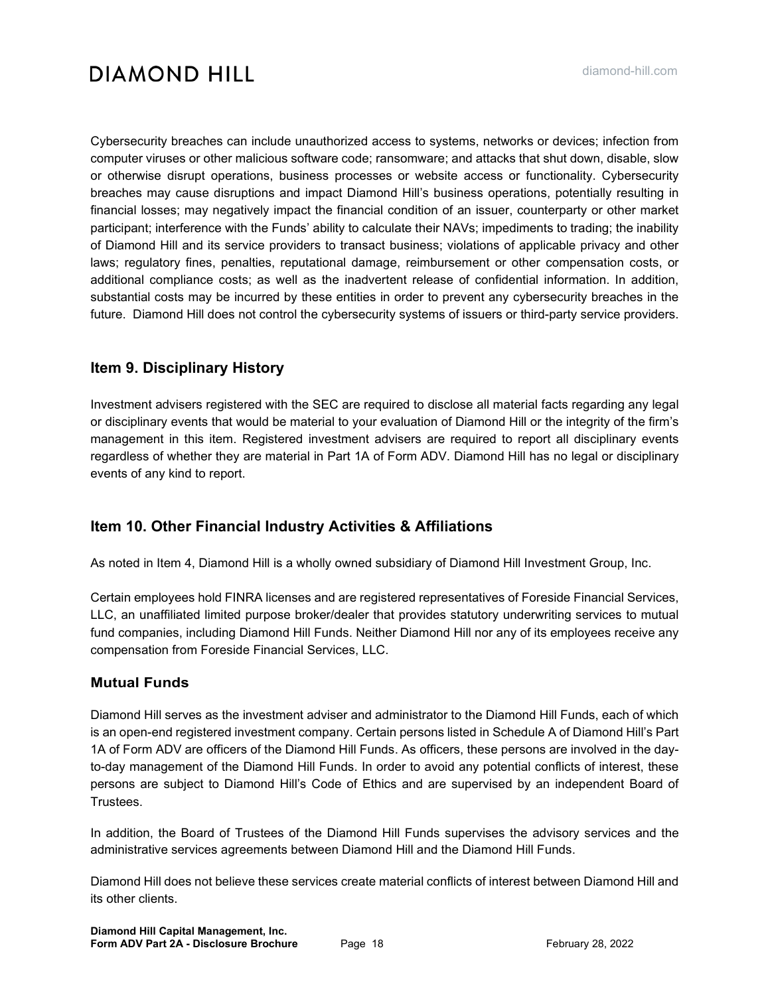Cybersecurity breaches can include unauthorized access to systems, networks or devices; infection from computer viruses or other malicious software code; ransomware; and attacks that shut down, disable, slow or otherwise disrupt operations, business processes or website access or functionality. Cybersecurity breaches may cause disruptions and impact Diamond Hill's business operations, potentially resulting in financial losses; may negatively impact the financial condition of an issuer, counterparty or other market participant; interference with the Funds' ability to calculate their NAVs; impediments to trading; the inability of Diamond Hill and its service providers to transact business; violations of applicable privacy and other laws; regulatory fines, penalties, reputational damage, reimbursement or other compensation costs, or additional compliance costs; as well as the inadvertent release of confidential information. In addition, substantial costs may be incurred by these entities in order to prevent any cybersecurity breaches in the future. Diamond Hill does not control the cybersecurity systems of issuers or third-party service providers.

# <span id="page-17-0"></span>**Item 9. Disciplinary History**

Investment advisers registered with the SEC are required to disclose all material facts regarding any legal or disciplinary events that would be material to your evaluation of Diamond Hill or the integrity of the firm's management in this item. Registered investment advisers are required to report all disciplinary events regardless of whether they are material in Part 1A of Form ADV. Diamond Hill has no legal or disciplinary events of any kind to report.

# <span id="page-17-1"></span>**Item 10. Other Financial Industry Activities & Affiliations**

As noted in Item 4, Diamond Hill is a wholly owned subsidiary of Diamond Hill Investment Group, Inc.

Certain employees hold FINRA licenses and are registered representatives of Foreside Financial Services, LLC, an unaffiliated limited purpose broker/dealer that provides statutory underwriting services to mutual fund companies, including Diamond Hill Funds. Neither Diamond Hill nor any of its employees receive any compensation from Foreside Financial Services, LLC.

### **Mutual Funds**

Diamond Hill serves as the investment adviser and administrator to the Diamond Hill Funds, each of which is an open-end registered investment company. Certain persons listed in Schedule A of Diamond Hill's Part 1A of Form ADV are officers of the Diamond Hill Funds. As officers, these persons are involved in the dayto-day management of the Diamond Hill Funds. In order to avoid any potential conflicts of interest, these persons are subject to Diamond Hill's Code of Ethics and are supervised by an independent Board of Trustees.

In addition, the Board of Trustees of the Diamond Hill Funds supervises the advisory services and the administrative services agreements between Diamond Hill and the Diamond Hill Funds.

Diamond Hill does not believe these services create material conflicts of interest between Diamond Hill and its other clients.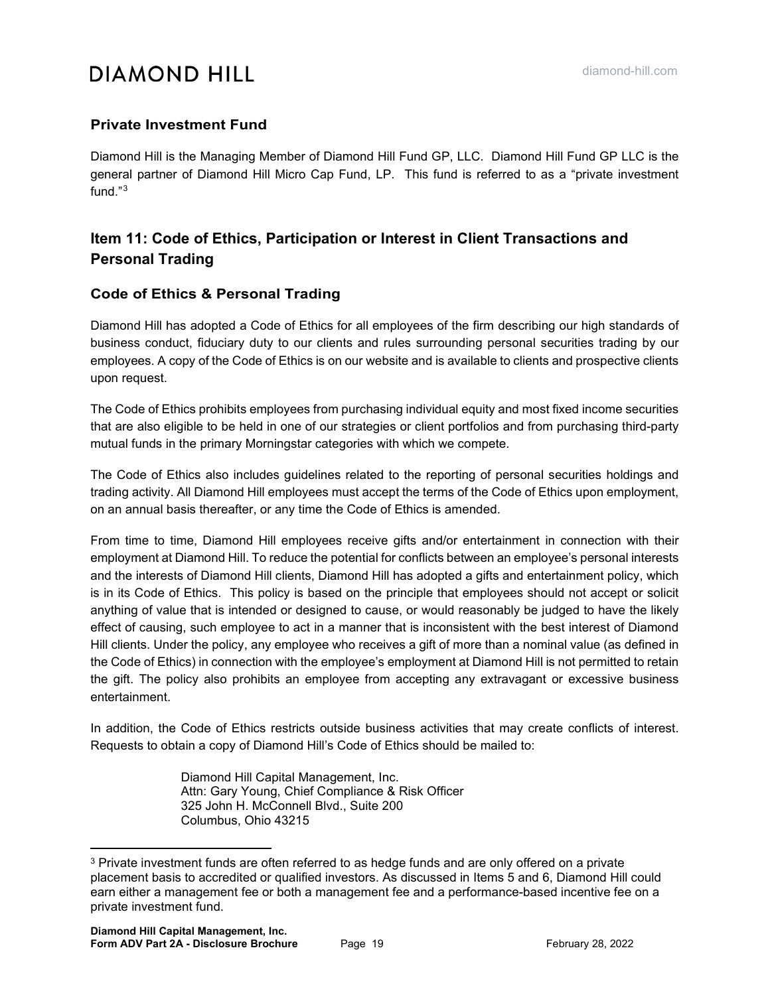# **Private Investment Fund**

Diamond Hill is the Managing Member of Diamond Hill Fund GP, LLC. Diamond Hill Fund GP LLC is the general partner of Diamond Hill Micro Cap Fund, LP. This fund is referred to as a "private investment fund."[3](#page-18-1)

# <span id="page-18-0"></span>**Item 11: Code of Ethics, Participation or Interest in Client Transactions and Personal Trading**

## **Code of Ethics & Personal Trading**

Diamond Hill has adopted a Code of Ethics for all employees of the firm describing our high standards of business conduct, fiduciary duty to our clients and rules surrounding personal securities trading by our employees. A copy of the Code of Ethics is on our website and is available to clients and prospective clients upon request.

The Code of Ethics prohibits employees from purchasing individual equity and most fixed income securities that are also eligible to be held in one of our strategies or client portfolios and from purchasing third-party mutual funds in the primary Morningstar categories with which we compete.

The Code of Ethics also includes guidelines related to the reporting of personal securities holdings and trading activity. All Diamond Hill employees must accept the terms of the Code of Ethics upon employment, on an annual basis thereafter, or any time the Code of Ethics is amended.

From time to time, Diamond Hill employees receive gifts and/or entertainment in connection with their employment at Diamond Hill. To reduce the potential for conflicts between an employee's personal interests and the interests of Diamond Hill clients, Diamond Hill has adopted a gifts and entertainment policy, which is in its Code of Ethics. This policy is based on the principle that employees should not accept or solicit anything of value that is intended or designed to cause, or would reasonably be judged to have the likely effect of causing, such employee to act in a manner that is inconsistent with the best interest of Diamond Hill clients. Under the policy, any employee who receives a gift of more than a nominal value (as defined in the Code of Ethics) in connection with the employee's employment at Diamond Hill is not permitted to retain the gift. The policy also prohibits an employee from accepting any extravagant or excessive business entertainment.

In addition, the Code of Ethics restricts outside business activities that may create conflicts of interest. Requests to obtain a copy of Diamond Hill's Code of Ethics should be mailed to:

> Diamond Hill Capital Management, Inc. Attn: Gary Young, Chief Compliance & Risk Officer 325 John H. McConnell Blvd., Suite 200 Columbus, Ohio 43215

<span id="page-18-1"></span><sup>&</sup>lt;sup>3</sup> Private investment funds are often referred to as hedge funds and are only offered on a private placement basis to accredited or qualified investors. As discussed in Items 5 and 6, Diamond Hill could earn either a management fee or both a management fee and a performance-based incentive fee on a private investment fund.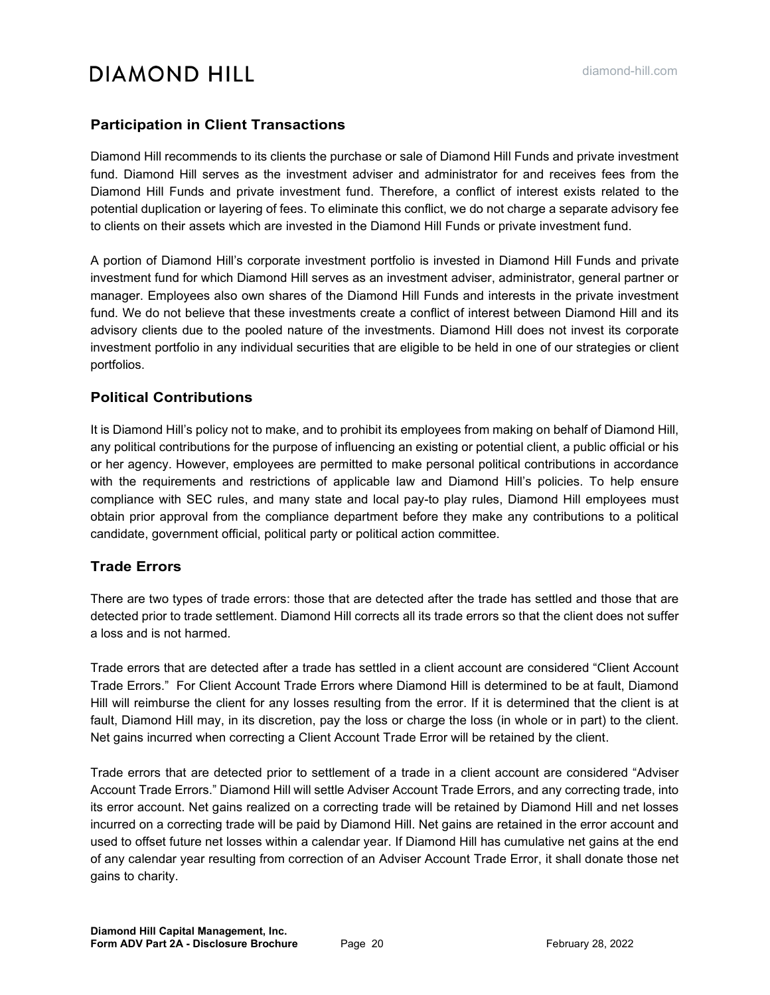### **Participation in Client Transactions**

Diamond Hill recommends to its clients the purchase or sale of Diamond Hill Funds and private investment fund. Diamond Hill serves as the investment adviser and administrator for and receives fees from the Diamond Hill Funds and private investment fund. Therefore, a conflict of interest exists related to the potential duplication or layering of fees. To eliminate this conflict, we do not charge a separate advisory fee to clients on their assets which are invested in the Diamond Hill Funds or private investment fund.

A portion of Diamond Hill's corporate investment portfolio is invested in Diamond Hill Funds and private investment fund for which Diamond Hill serves as an investment adviser, administrator, general partner or manager. Employees also own shares of the Diamond Hill Funds and interests in the private investment fund. We do not believe that these investments create a conflict of interest between Diamond Hill and its advisory clients due to the pooled nature of the investments. Diamond Hill does not invest its corporate investment portfolio in any individual securities that are eligible to be held in one of our strategies or client portfolios.

### **Political Contributions**

It is Diamond Hill's policy not to make, and to prohibit its employees from making on behalf of Diamond Hill, any political contributions for the purpose of influencing an existing or potential client, a public official or his or her agency. However, employees are permitted to make personal political contributions in accordance with the requirements and restrictions of applicable law and Diamond Hill's policies. To help ensure compliance with SEC rules, and many state and local pay-to play rules, Diamond Hill employees must obtain prior approval from the compliance department before they make any contributions to a political candidate, government official, political party or political action committee.

### **Trade Errors**

There are two types of trade errors: those that are detected after the trade has settled and those that are detected prior to trade settlement. Diamond Hill corrects all its trade errors so that the client does not suffer a loss and is not harmed.

Trade errors that are detected after a trade has settled in a client account are considered "Client Account Trade Errors." For Client Account Trade Errors where Diamond Hill is determined to be at fault, Diamond Hill will reimburse the client for any losses resulting from the error. If it is determined that the client is at fault, Diamond Hill may, in its discretion, pay the loss or charge the loss (in whole or in part) to the client. Net gains incurred when correcting a Client Account Trade Error will be retained by the client.

<span id="page-19-0"></span>Trade errors that are detected prior to settlement of a trade in a client account are considered "Adviser Account Trade Errors." Diamond Hill will settle Adviser Account Trade Errors, and any correcting trade, into its error account. Net gains realized on a correcting trade will be retained by Diamond Hill and net losses incurred on a correcting trade will be paid by Diamond Hill. Net gains are retained in the error account and used to offset future net losses within a calendar year. If Diamond Hill has cumulative net gains at the end of any calendar year resulting from correction of an Adviser Account Trade Error, it shall donate those net gains to charity.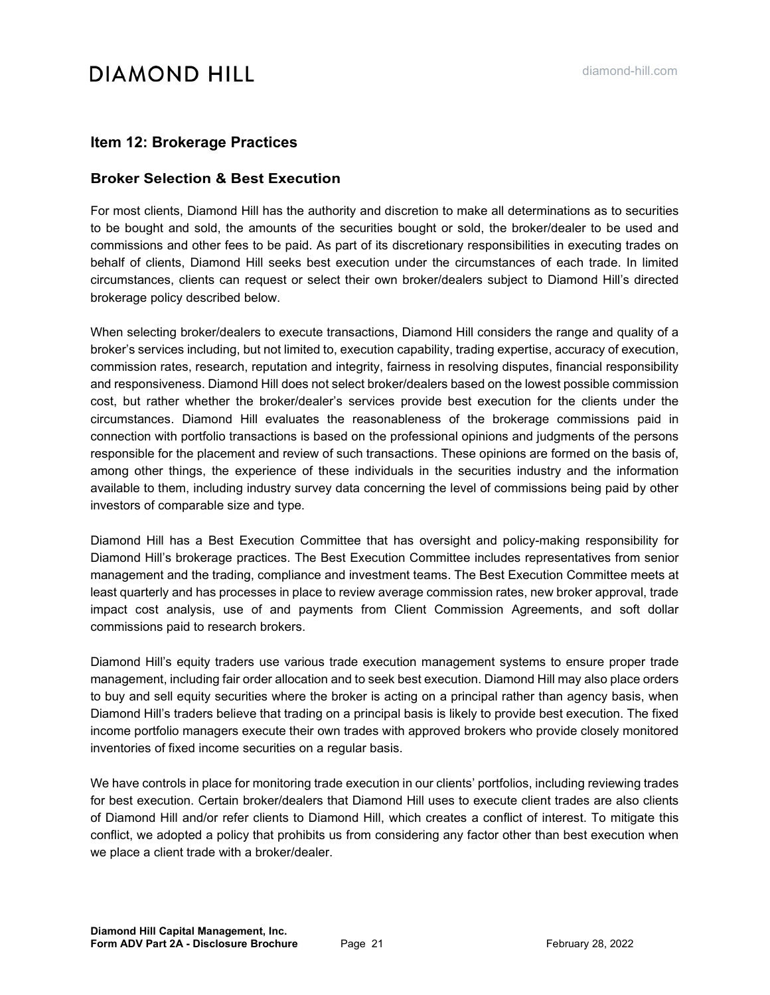### **Item 12: Brokerage Practices**

#### **Broker Selection & Best Execution**

For most clients, Diamond Hill has the authority and discretion to make all determinations as to securities to be bought and sold, the amounts of the securities bought or sold, the broker/dealer to be used and commissions and other fees to be paid. As part of its discretionary responsibilities in executing trades on behalf of clients, Diamond Hill seeks best execution under the circumstances of each trade. In limited circumstances, clients can request or select their own broker/dealers subject to Diamond Hill's directed brokerage policy described below.

When selecting broker/dealers to execute transactions, Diamond Hill considers the range and quality of a broker's services including, but not limited to, execution capability, trading expertise, accuracy of execution, commission rates, research, reputation and integrity, fairness in resolving disputes, financial responsibility and responsiveness. Diamond Hill does not select broker/dealers based on the lowest possible commission cost, but rather whether the broker/dealer's services provide best execution for the clients under the circumstances. Diamond Hill evaluates the reasonableness of the brokerage commissions paid in connection with portfolio transactions is based on the professional opinions and judgments of the persons responsible for the placement and review of such transactions. These opinions are formed on the basis of, among other things, the experience of these individuals in the securities industry and the information available to them, including industry survey data concerning the level of commissions being paid by other investors of comparable size and type.

Diamond Hill has a Best Execution Committee that has oversight and policy-making responsibility for Diamond Hill's brokerage practices. The Best Execution Committee includes representatives from senior management and the trading, compliance and investment teams. The Best Execution Committee meets at least quarterly and has processes in place to review average commission rates, new broker approval, trade impact cost analysis, use of and payments from Client Commission Agreements, and soft dollar commissions paid to research brokers.

Diamond Hill's equity traders use various trade execution management systems to ensure proper trade management, including fair order allocation and to seek best execution. Diamond Hill may also place orders to buy and sell equity securities where the broker is acting on a principal rather than agency basis, when Diamond Hill's traders believe that trading on a principal basis is likely to provide best execution. The fixed income portfolio managers execute their own trades with approved brokers who provide closely monitored inventories of fixed income securities on a regular basis.

We have controls in place for monitoring trade execution in our clients' portfolios, including reviewing trades for best execution. Certain broker/dealers that Diamond Hill uses to execute client trades are also clients of Diamond Hill and/or refer clients to Diamond Hill, which creates a conflict of interest. To mitigate this conflict, we adopted a policy that prohibits us from considering any factor other than best execution when we place a client trade with a broker/dealer.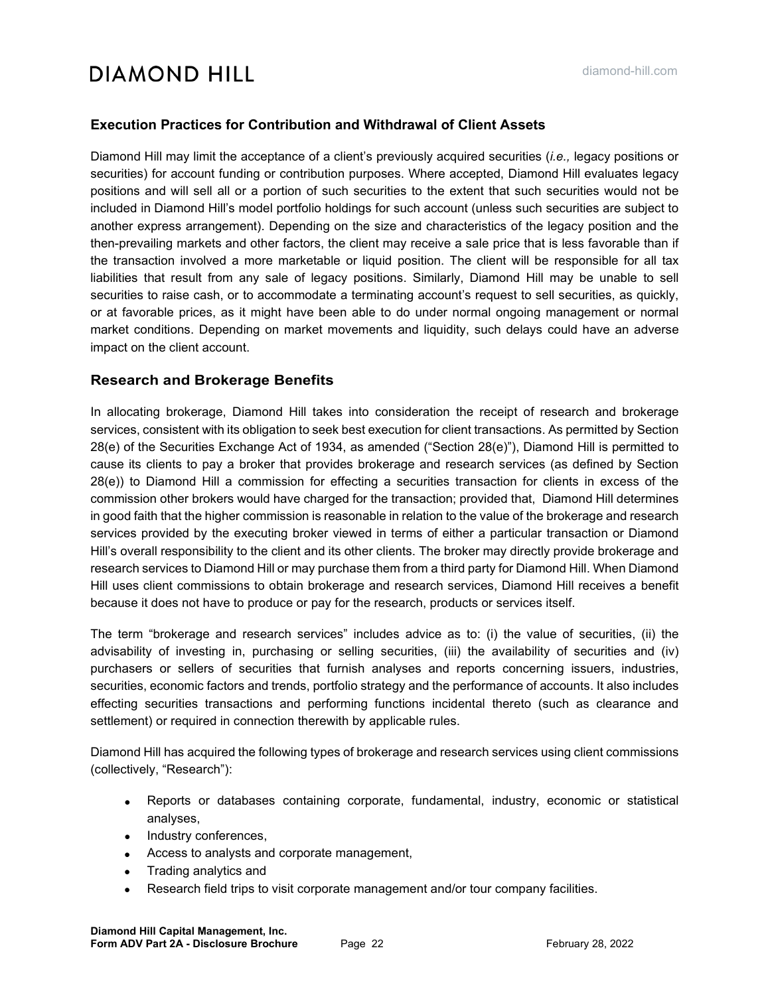### **Execution Practices for Contribution and Withdrawal of Client Assets**

Diamond Hill may limit the acceptance of a client's previously acquired securities (*i.e.,* legacy positions or securities) for account funding or contribution purposes. Where accepted, Diamond Hill evaluates legacy positions and will sell all or a portion of such securities to the extent that such securities would not be included in Diamond Hill's model portfolio holdings for such account (unless such securities are subject to another express arrangement). Depending on the size and characteristics of the legacy position and the then-prevailing markets and other factors, the client may receive a sale price that is less favorable than if the transaction involved a more marketable or liquid position. The client will be responsible for all tax liabilities that result from any sale of legacy positions. Similarly, Diamond Hill may be unable to sell securities to raise cash, or to accommodate a terminating account's request to sell securities, as quickly, or at favorable prices, as it might have been able to do under normal ongoing management or normal market conditions. Depending on market movements and liquidity, such delays could have an adverse impact on the client account.

#### **Research and Brokerage Benefits**

In allocating brokerage, Diamond Hill takes into consideration the receipt of research and brokerage services, consistent with its obligation to seek best execution for client transactions. As permitted by Section 28(e) of the Securities Exchange Act of 1934, as amended ("Section 28(e)"), Diamond Hill is permitted to cause its clients to pay a broker that provides brokerage and research services (as defined by Section 28(e)) to Diamond Hill a commission for effecting a securities transaction for clients in excess of the commission other brokers would have charged for the transaction; provided that, Diamond Hill determines in good faith that the higher commission is reasonable in relation to the value of the brokerage and research services provided by the executing broker viewed in terms of either a particular transaction or Diamond Hill's overall responsibility to the client and its other clients. The broker may directly provide brokerage and research services to Diamond Hill or may purchase them from a third party for Diamond Hill. When Diamond Hill uses client commissions to obtain brokerage and research services, Diamond Hill receives a benefit because it does not have to produce or pay for the research, products or services itself.

The term "brokerage and research services" includes advice as to: (i) the value of securities, (ii) the advisability of investing in, purchasing or selling securities, (iii) the availability of securities and (iv) purchasers or sellers of securities that furnish analyses and reports concerning issuers, industries, securities, economic factors and trends, portfolio strategy and the performance of accounts. It also includes effecting securities transactions and performing functions incidental thereto (such as clearance and settlement) or required in connection therewith by applicable rules.

Diamond Hill has acquired the following types of brokerage and research services using client commissions (collectively, "Research"):

- Reports or databases containing corporate, fundamental, industry, economic or statistical analyses,
- Industry conferences,
- Access to analysts and corporate management,
- Trading analytics and
- Research field trips to visit corporate management and/or tour company facilities.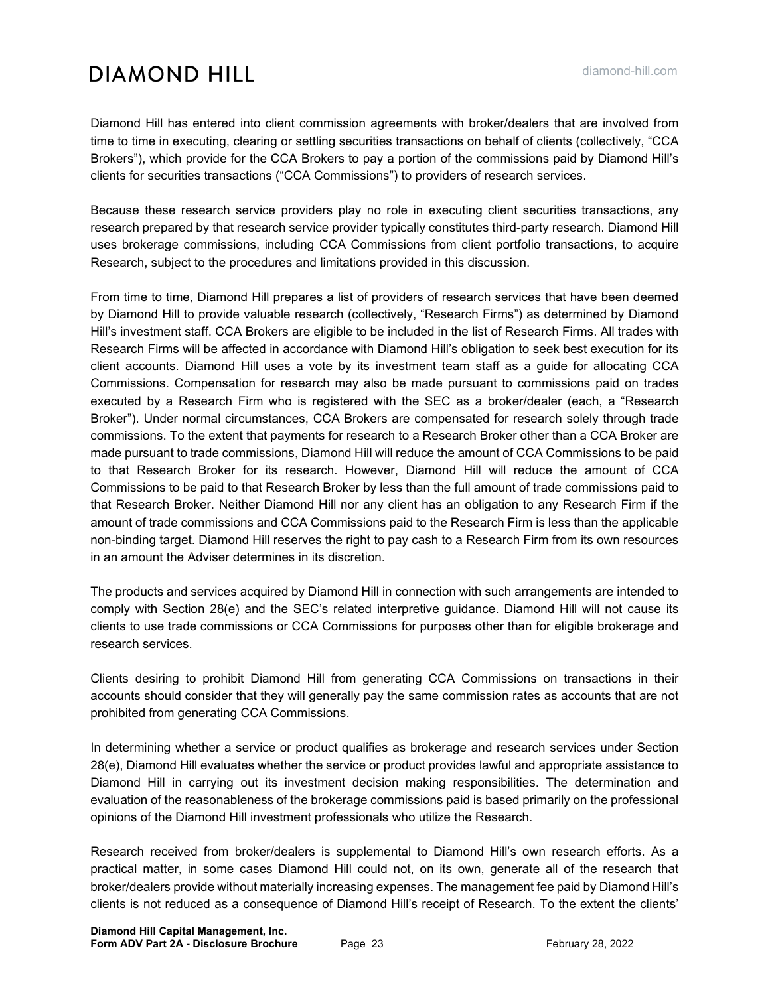Diamond Hill has entered into client commission agreements with broker/dealers that are involved from time to time in executing, clearing or settling securities transactions on behalf of clients (collectively, "CCA Brokers"), which provide for the CCA Brokers to pay a portion of the commissions paid by Diamond Hill's clients for securities transactions ("CCA Commissions") to providers of research services.

Because these research service providers play no role in executing client securities transactions, any research prepared by that research service provider typically constitutes third-party research. Diamond Hill uses brokerage commissions, including CCA Commissions from client portfolio transactions, to acquire Research, subject to the procedures and limitations provided in this discussion.

From time to time, Diamond Hill prepares a list of providers of research services that have been deemed by Diamond Hill to provide valuable research (collectively, "Research Firms") as determined by Diamond Hill's investment staff. CCA Brokers are eligible to be included in the list of Research Firms. All trades with Research Firms will be affected in accordance with Diamond Hill's obligation to seek best execution for its client accounts. Diamond Hill uses a vote by its investment team staff as a guide for allocating CCA Commissions. Compensation for research may also be made pursuant to commissions paid on trades executed by a Research Firm who is registered with the SEC as a broker/dealer (each, a "Research Broker"). Under normal circumstances, CCA Brokers are compensated for research solely through trade commissions. To the extent that payments for research to a Research Broker other than a CCA Broker are made pursuant to trade commissions, Diamond Hill will reduce the amount of CCA Commissions to be paid to that Research Broker for its research. However, Diamond Hill will reduce the amount of CCA Commissions to be paid to that Research Broker by less than the full amount of trade commissions paid to that Research Broker. Neither Diamond Hill nor any client has an obligation to any Research Firm if the amount of trade commissions and CCA Commissions paid to the Research Firm is less than the applicable non-binding target. Diamond Hill reserves the right to pay cash to a Research Firm from its own resources in an amount the Adviser determines in its discretion.

The products and services acquired by Diamond Hill in connection with such arrangements are intended to comply with Section 28(e) and the SEC's related interpretive guidance. Diamond Hill will not cause its clients to use trade commissions or CCA Commissions for purposes other than for eligible brokerage and research services.

Clients desiring to prohibit Diamond Hill from generating CCA Commissions on transactions in their accounts should consider that they will generally pay the same commission rates as accounts that are not prohibited from generating CCA Commissions.

In determining whether a service or product qualifies as brokerage and research services under Section 28(e), Diamond Hill evaluates whether the service or product provides lawful and appropriate assistance to Diamond Hill in carrying out its investment decision making responsibilities. The determination and evaluation of the reasonableness of the brokerage commissions paid is based primarily on the professional opinions of the Diamond Hill investment professionals who utilize the Research.

Research received from broker/dealers is supplemental to Diamond Hill's own research efforts. As a practical matter, in some cases Diamond Hill could not, on its own, generate all of the research that broker/dealers provide without materially increasing expenses. The management fee paid by Diamond Hill's clients is not reduced as a consequence of Diamond Hill's receipt of Research. To the extent the clients'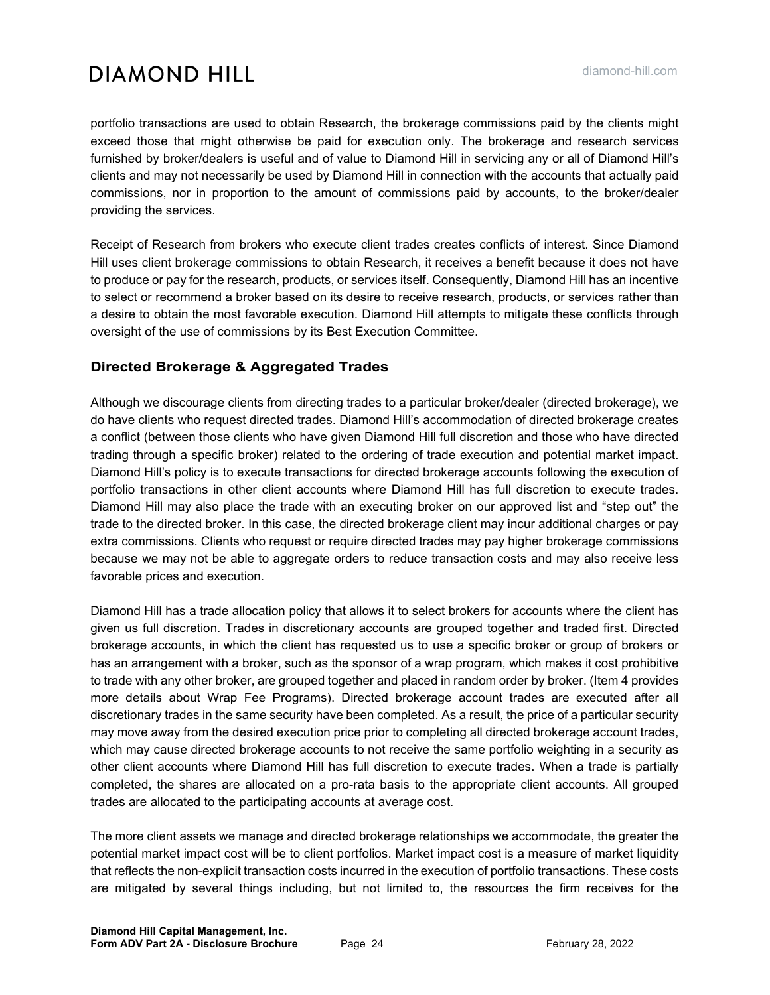portfolio transactions are used to obtain Research, the brokerage commissions paid by the clients might exceed those that might otherwise be paid for execution only. The brokerage and research services furnished by broker/dealers is useful and of value to Diamond Hill in servicing any or all of Diamond Hill's clients and may not necessarily be used by Diamond Hill in connection with the accounts that actually paid commissions, nor in proportion to the amount of commissions paid by accounts, to the broker/dealer providing the services.

Receipt of Research from brokers who execute client trades creates conflicts of interest. Since Diamond Hill uses client brokerage commissions to obtain Research, it receives a benefit because it does not have to produce or pay for the research, products, or services itself. Consequently, Diamond Hill has an incentive to select or recommend a broker based on its desire to receive research, products, or services rather than a desire to obtain the most favorable execution. Diamond Hill attempts to mitigate these conflicts through oversight of the use of commissions by its Best Execution Committee.

# **Directed Brokerage & Aggregated Trades**

Although we discourage clients from directing trades to a particular broker/dealer (directed brokerage), we do have clients who request directed trades. Diamond Hill's accommodation of directed brokerage creates a conflict (between those clients who have given Diamond Hill full discretion and those who have directed trading through a specific broker) related to the ordering of trade execution and potential market impact. Diamond Hill's policy is to execute transactions for directed brokerage accounts following the execution of portfolio transactions in other client accounts where Diamond Hill has full discretion to execute trades. Diamond Hill may also place the trade with an executing broker on our approved list and "step out" the trade to the directed broker. In this case, the directed brokerage client may incur additional charges or pay extra commissions. Clients who request or require directed trades may pay higher brokerage commissions because we may not be able to aggregate orders to reduce transaction costs and may also receive less favorable prices and execution.

Diamond Hill has a trade allocation policy that allows it to select brokers for accounts where the client has given us full discretion. Trades in discretionary accounts are grouped together and traded first. Directed brokerage accounts, in which the client has requested us to use a specific broker or group of brokers or has an arrangement with a broker, such as the sponsor of a wrap program, which makes it cost prohibitive to trade with any other broker, are grouped together and placed in random order by broker. (Item 4 provides more details about Wrap Fee Programs). Directed brokerage account trades are executed after all discretionary trades in the same security have been completed. As a result, the price of a particular security may move away from the desired execution price prior to completing all directed brokerage account trades, which may cause directed brokerage accounts to not receive the same portfolio weighting in a security as other client accounts where Diamond Hill has full discretion to execute trades. When a trade is partially completed, the shares are allocated on a pro-rata basis to the appropriate client accounts. All grouped trades are allocated to the participating accounts at average cost.

The more client assets we manage and directed brokerage relationships we accommodate, the greater the potential market impact cost will be to client portfolios. Market impact cost is a measure of market liquidity that reflects the non-explicit transaction costs incurred in the execution of portfolio transactions. These costs are mitigated by several things including, but not limited to, the resources the firm receives for the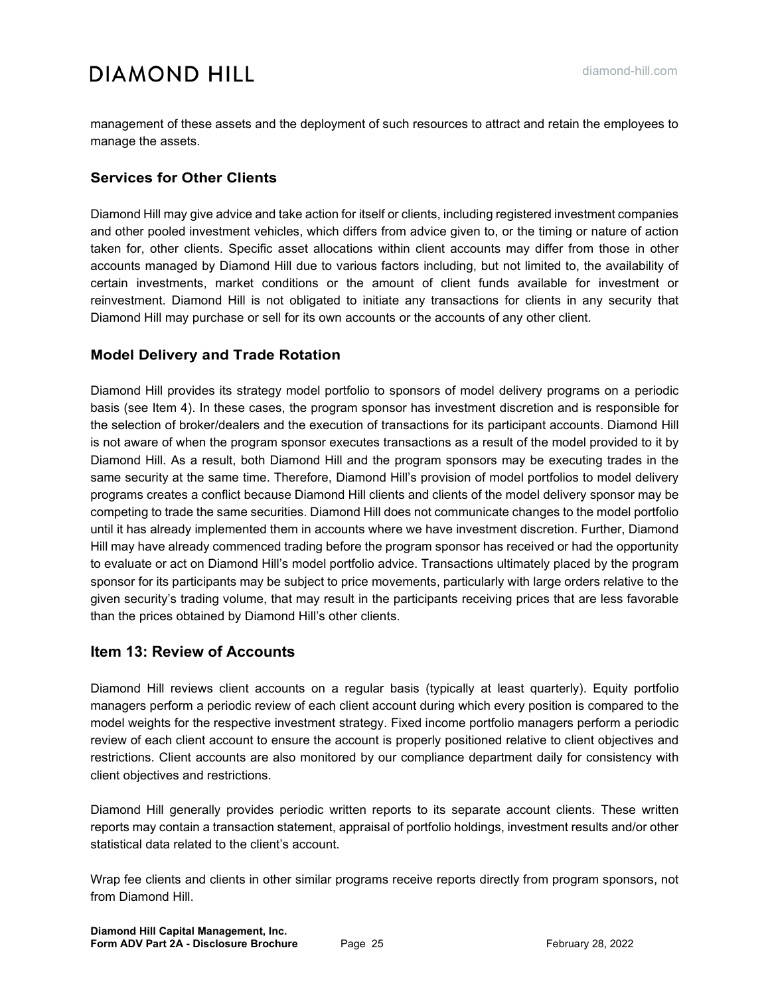management of these assets and the deployment of such resources to attract and retain the employees to manage the assets.

### **Services for Other Clients**

Diamond Hill may give advice and take action for itself or clients, including registered investment companies and other pooled investment vehicles, which differs from advice given to, or the timing or nature of action taken for, other clients. Specific asset allocations within client accounts may differ from those in other accounts managed by Diamond Hill due to various factors including, but not limited to, the availability of certain investments, market conditions or the amount of client funds available for investment or reinvestment. Diamond Hill is not obligated to initiate any transactions for clients in any security that Diamond Hill may purchase or sell for its own accounts or the accounts of any other client.

## **Model Delivery and Trade Rotation**

Diamond Hill provides its strategy model portfolio to sponsors of model delivery programs on a periodic basis (see Item 4). In these cases, the program sponsor has investment discretion and is responsible for the selection of broker/dealers and the execution of transactions for its participant accounts. Diamond Hill is not aware of when the program sponsor executes transactions as a result of the model provided to it by Diamond Hill. As a result, both Diamond Hill and the program sponsors may be executing trades in the same security at the same time. Therefore, Diamond Hill's provision of model portfolios to model delivery programs creates a conflict because Diamond Hill clients and clients of the model delivery sponsor may be competing to trade the same securities. Diamond Hill does not communicate changes to the model portfolio until it has already implemented them in accounts where we have investment discretion. Further, Diamond Hill may have already commenced trading before the program sponsor has received or had the opportunity to evaluate or act on Diamond Hill's model portfolio advice. Transactions ultimately placed by the program sponsor for its participants may be subject to price movements, particularly with large orders relative to the given security's trading volume, that may result in the participants receiving prices that are less favorable than the prices obtained by Diamond Hill's other clients.

# <span id="page-24-0"></span>**Item 13: Review of Accounts**

Diamond Hill reviews client accounts on a regular basis (typically at least quarterly). Equity portfolio managers perform a periodic review of each client account during which every position is compared to the model weights for the respective investment strategy. Fixed income portfolio managers perform a periodic review of each client account to ensure the account is properly positioned relative to client objectives and restrictions. Client accounts are also monitored by our compliance department daily for consistency with client objectives and restrictions.

Diamond Hill generally provides periodic written reports to its separate account clients. These written reports may contain a transaction statement, appraisal of portfolio holdings, investment results and/or other statistical data related to the client's account.

<span id="page-24-1"></span>Wrap fee clients and clients in other similar programs receive reports directly from program sponsors, not from Diamond Hill.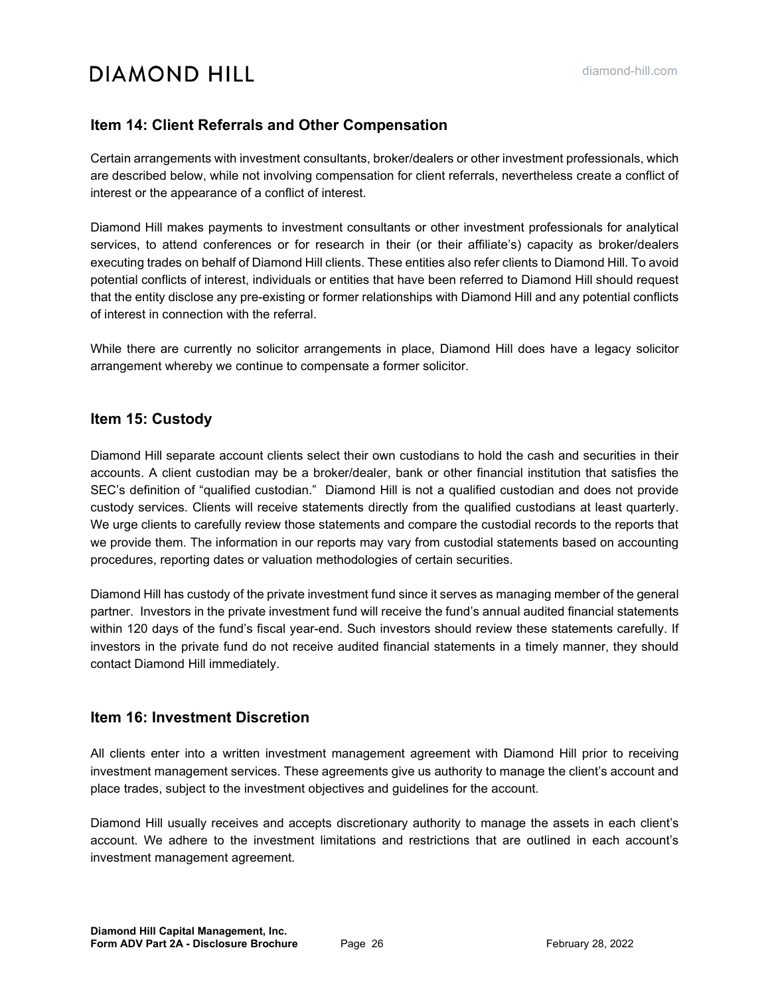# **Item 14: Client Referrals and Other Compensation**

Certain arrangements with investment consultants, broker/dealers or other investment professionals, which are described below, while not involving compensation for client referrals, nevertheless create a conflict of interest or the appearance of a conflict of interest.

Diamond Hill makes payments to investment consultants or other investment professionals for analytical services, to attend conferences or for research in their (or their affiliate's) capacity as broker/dealers executing trades on behalf of Diamond Hill clients. These entities also refer clients to Diamond Hill. To avoid potential conflicts of interest, individuals or entities that have been referred to Diamond Hill should request that the entity disclose any pre-existing or former relationships with Diamond Hill and any potential conflicts of interest in connection with the referral.

<span id="page-25-0"></span>While there are currently no solicitor arrangements in place, Diamond Hill does have a legacy solicitor arrangement whereby we continue to compensate a former solicitor.

## **Item 15: Custody**

Diamond Hill separate account clients select their own custodians to hold the cash and securities in their accounts. A client custodian may be a broker/dealer, bank or other financial institution that satisfies the SEC's definition of "qualified custodian." Diamond Hill is not a qualified custodian and does not provide custody services. Clients will receive statements directly from the qualified custodians at least quarterly. We urge clients to carefully review those statements and compare the custodial records to the reports that we provide them. The information in our reports may vary from custodial statements based on accounting procedures, reporting dates or valuation methodologies of certain securities.

Diamond Hill has custody of the private investment fund since it serves as managing member of the general partner. Investors in the private investment fund will receive the fund's annual audited financial statements within 120 days of the fund's fiscal year-end. Such investors should review these statements carefully. If investors in the private fund do not receive audited financial statements in a timely manner, they should contact Diamond Hill immediately.

### <span id="page-25-1"></span>**Item 16: Investment Discretion**

All clients enter into a written investment management agreement with Diamond Hill prior to receiving investment management services. These agreements give us authority to manage the client's account and place trades, subject to the investment objectives and guidelines for the account.

<span id="page-25-2"></span>Diamond Hill usually receives and accepts discretionary authority to manage the assets in each client's account. We adhere to the investment limitations and restrictions that are outlined in each account's investment management agreement.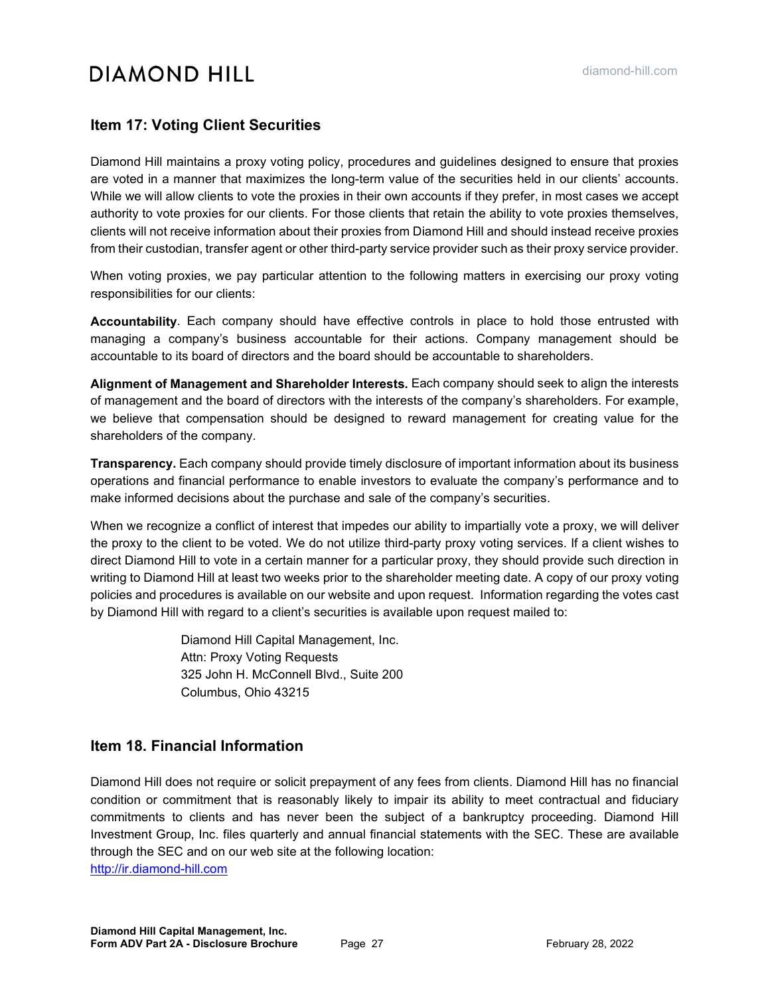# **Item 17: Voting Client Securities**

Diamond Hill maintains a proxy voting policy, procedures and guidelines designed to ensure that proxies are voted in a manner that maximizes the long-term value of the securities held in our clients' accounts. While we will allow clients to vote the proxies in their own accounts if they prefer, in most cases we accept authority to vote proxies for our clients. For those clients that retain the ability to vote proxies themselves, clients will not receive information about their proxies from Diamond Hill and should instead receive proxies from their custodian, transfer agent or other third-party service provider such as their proxy service provider.

When voting proxies, we pay particular attention to the following matters in exercising our proxy voting responsibilities for our clients:

**Accountability**. Each company should have effective controls in place to hold those entrusted with managing a company's business accountable for their actions. Company management should be accountable to its board of directors and the board should be accountable to shareholders.

**Alignment of Management and Shareholder Interests.** Each company should seek to align the interests of management and the board of directors with the interests of the company's shareholders. For example, we believe that compensation should be designed to reward management for creating value for the shareholders of the company.

**Transparency.** Each company should provide timely disclosure of important information about its business operations and financial performance to enable investors to evaluate the company's performance and to make informed decisions about the purchase and sale of the company's securities.

When we recognize a conflict of interest that impedes our ability to impartially vote a proxy, we will deliver the proxy to the client to be voted. We do not utilize third-party proxy voting services. If a client wishes to direct Diamond Hill to vote in a certain manner for a particular proxy, they should provide such direction in writing to Diamond Hill at least two weeks prior to the shareholder meeting date. A copy of our proxy voting policies and procedures is available on our website and upon request. Information regarding the votes cast by Diamond Hill with regard to a client's securities is available upon request mailed to:

> <span id="page-26-0"></span>Diamond Hill Capital Management, Inc. Attn: Proxy Voting Requests 325 John H. McConnell Blvd., Suite 200 Columbus, Ohio 43215

### **Item 18. Financial Information**

Diamond Hill does not require or solicit prepayment of any fees from clients. Diamond Hill has no financial condition or commitment that is reasonably likely to impair its ability to meet contractual and fiduciary commitments to clients and has never been the subject of a bankruptcy proceeding. Diamond Hill Investment Group, Inc. files quarterly and annual financial statements with the SEC. These are available through the SEC and on our web site at the following location: [http://ir.diamond-hill.com](http://ir.diamond-hill.com/)

<span id="page-26-1"></span>**Diamond Hill Capital Management, Inc. Form ADV Part 2A - Disclosure Brochure** Page 27 **February 28, 2022**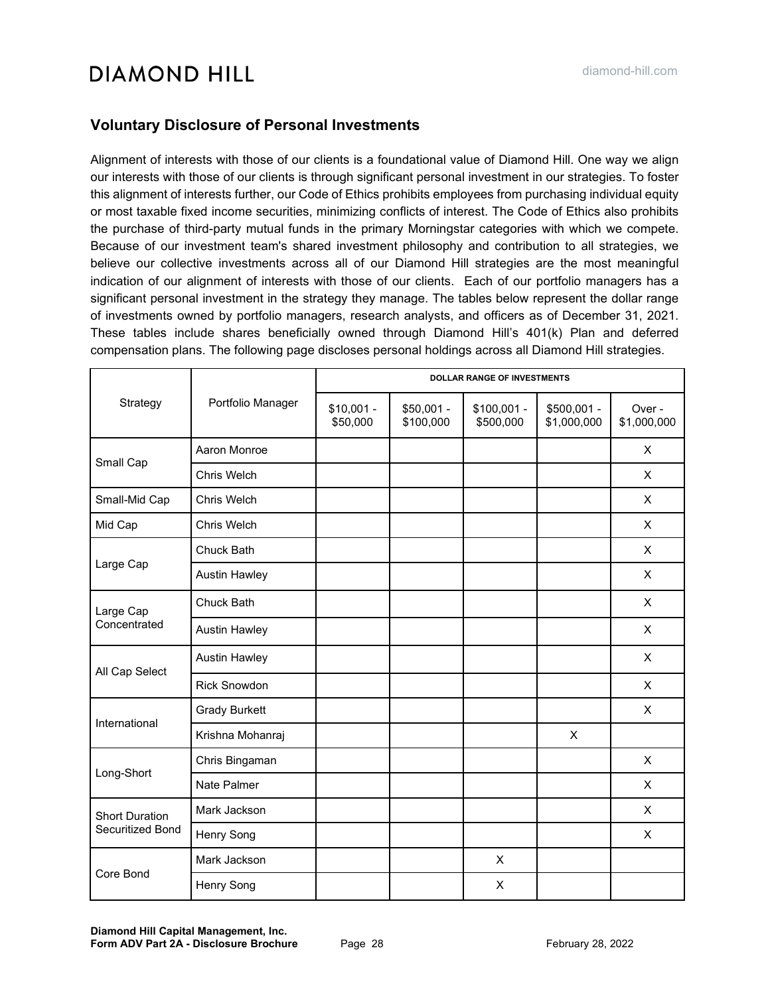# **Voluntary Disclosure of Personal Investments**

Alignment of interests with those of our clients is a foundational value of Diamond Hill. One way we align our interests with those of our clients is through significant personal investment in our strategies. To foster this alignment of interests further, our Code of Ethics prohibits employees from purchasing individual equity or most taxable fixed income securities, minimizing conflicts of interest. The Code of Ethics also prohibits the purchase of third-party mutual funds in the primary Morningstar categories with which we compete. Because of our investment team's shared investment philosophy and contribution to all strategies, we believe our collective investments across all of our Diamond Hill strategies are the most meaningful indication of our alignment of interests with those of our clients. Each of our portfolio managers has a significant personal investment in the strategy they manage. The tables below represent the dollar range of investments owned by portfolio managers, research analysts, and officers as of December 31, 2021. These tables include shares beneficially owned through Diamond Hill's 401(k) Plan and deferred compensation plans. The following page discloses personal holdings across all Diamond Hill strategies.

| Strategy                                  | Portfolio Manager    | <b>DOLLAR RANGE OF INVESTMENTS</b> |                          |                           |                            |                       |  |
|-------------------------------------------|----------------------|------------------------------------|--------------------------|---------------------------|----------------------------|-----------------------|--|
|                                           |                      | $$10,001 -$<br>\$50,000            | $$50,001 -$<br>\$100,000 | $$100,001 -$<br>\$500,000 | \$500,001 -<br>\$1,000,000 | Over -<br>\$1,000,000 |  |
| Small Cap                                 | Aaron Monroe         |                                    |                          |                           |                            | X                     |  |
|                                           | Chris Welch          |                                    |                          |                           |                            | X                     |  |
| Small-Mid Cap                             | Chris Welch          |                                    |                          |                           |                            | X                     |  |
| Mid Cap                                   | Chris Welch          |                                    |                          |                           |                            | X                     |  |
|                                           | Chuck Bath           |                                    |                          |                           |                            | X                     |  |
| Large Cap                                 | <b>Austin Hawley</b> |                                    |                          |                           |                            | X                     |  |
| Large Cap                                 | <b>Chuck Bath</b>    |                                    |                          |                           |                            | X                     |  |
| Concentrated                              | <b>Austin Hawley</b> |                                    |                          |                           |                            | X                     |  |
|                                           | <b>Austin Hawley</b> |                                    |                          |                           |                            | $\mathsf{X}$          |  |
| All Cap Select                            | <b>Rick Snowdon</b>  |                                    |                          |                           |                            | $\mathsf{X}$          |  |
| International                             | <b>Grady Burkett</b> |                                    |                          |                           |                            | X                     |  |
|                                           | Krishna Mohanraj     |                                    |                          |                           | X                          |                       |  |
| Long-Short                                | Chris Bingaman       |                                    |                          |                           |                            | X                     |  |
|                                           | Nate Palmer          |                                    |                          |                           |                            | X                     |  |
| <b>Short Duration</b><br>Securitized Bond | Mark Jackson         |                                    |                          |                           |                            | X                     |  |
|                                           | Henry Song           |                                    |                          |                           |                            | X                     |  |
| Core Bond                                 | Mark Jackson         |                                    |                          | $\mathsf{X}$              |                            |                       |  |
|                                           | Henry Song           |                                    |                          | X                         |                            |                       |  |